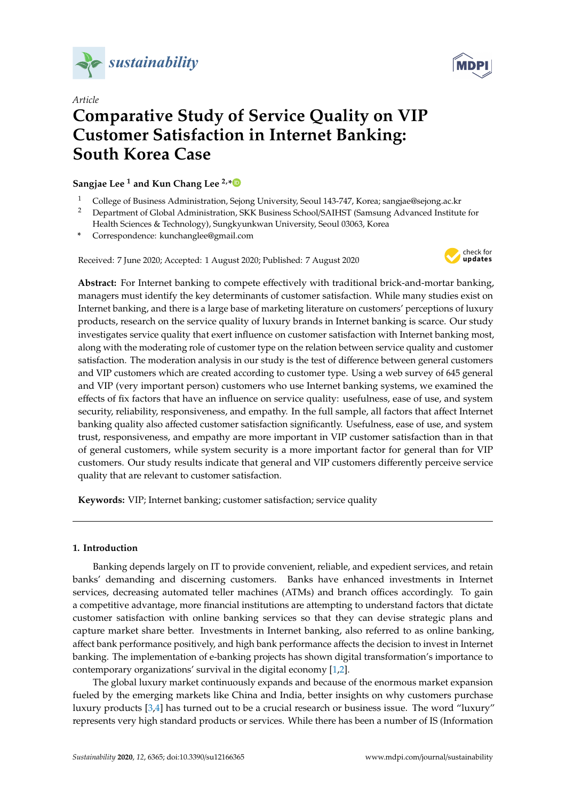



# *Article* **Comparative Study of Service Quality on VIP Customer Satisfaction in Internet Banking: South Korea Case**

**Sangjae Lee <sup>1</sup> and Kun Chang Lee 2,[\\*](https://orcid.org/0000-0003-4286-052X)**

- <sup>1</sup> College of Business Administration, Sejong University, Seoul 143-747, Korea; sangjae@sejong.ac.kr
- <sup>2</sup> Department of Global Administration, SKK Business School/SAIHST (Samsung Advanced Institute for Health Sciences & Technology), Sungkyunkwan University, Seoul 03063, Korea
- **\*** Correspondence: kunchanglee@gmail.com

Received: 7 June 2020; Accepted: 1 August 2020; Published: 7 August 2020



**Abstract:** For Internet banking to compete effectively with traditional brick-and-mortar banking, managers must identify the key determinants of customer satisfaction. While many studies exist on Internet banking, and there is a large base of marketing literature on customers' perceptions of luxury products, research on the service quality of luxury brands in Internet banking is scarce. Our study investigates service quality that exert influence on customer satisfaction with Internet banking most, along with the moderating role of customer type on the relation between service quality and customer satisfaction. The moderation analysis in our study is the test of difference between general customers and VIP customers which are created according to customer type. Using a web survey of 645 general and VIP (very important person) customers who use Internet banking systems, we examined the effects of fix factors that have an influence on service quality: usefulness, ease of use, and system security, reliability, responsiveness, and empathy. In the full sample, all factors that affect Internet banking quality also affected customer satisfaction significantly. Usefulness, ease of use, and system trust, responsiveness, and empathy are more important in VIP customer satisfaction than in that of general customers, while system security is a more important factor for general than for VIP customers. Our study results indicate that general and VIP customers differently perceive service quality that are relevant to customer satisfaction.

**Keywords:** VIP; Internet banking; customer satisfaction; service quality

# **1. Introduction**

Banking depends largely on IT to provide convenient, reliable, and expedient services, and retain banks' demanding and discerning customers. Banks have enhanced investments in Internet services, decreasing automated teller machines (ATMs) and branch offices accordingly. To gain a competitive advantage, more financial institutions are attempting to understand factors that dictate customer satisfaction with online banking services so that they can devise strategic plans and capture market share better. Investments in Internet banking, also referred to as online banking, affect bank performance positively, and high bank performance affects the decision to invest in Internet banking. The implementation of e-banking projects has shown digital transformation's importance to contemporary organizations' survival in the digital economy [\[1](#page-17-0)[,2\]](#page-17-1).

The global luxury market continuously expands and because of the enormous market expansion fueled by the emerging markets like China and India, better insights on why customers purchase luxury products [\[3](#page-17-2)[,4\]](#page-17-3) has turned out to be a crucial research or business issue. The word "luxury" represents very high standard products or services. While there has been a number of IS (Information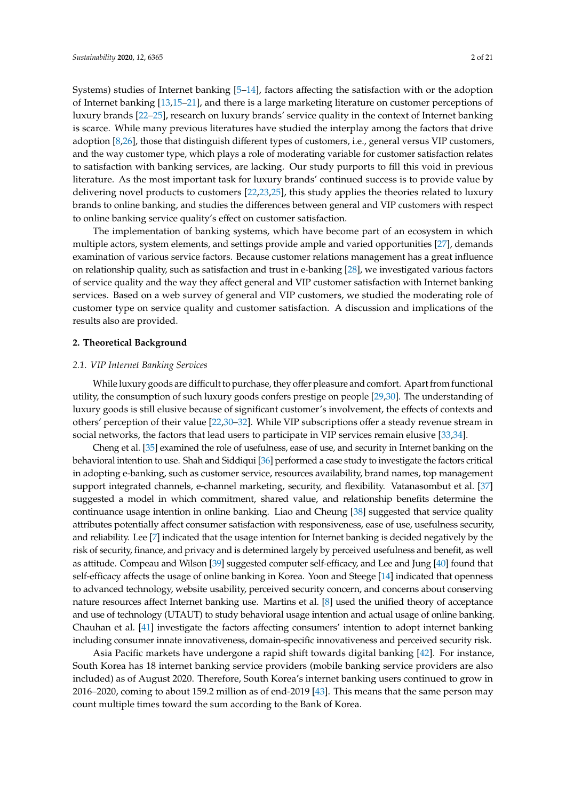Systems) studies of Internet banking [\[5](#page-17-4)[–14\]](#page-17-5), factors affecting the satisfaction with or the adoption of Internet banking [\[13,](#page-17-6)[15–](#page-17-7)[21\]](#page-17-8), and there is a large marketing literature on customer perceptions of luxury brands [\[22–](#page-17-9)[25\]](#page-18-0), research on luxury brands' service quality in the context of Internet banking is scarce. While many previous literatures have studied the interplay among the factors that drive adoption [\[8](#page-17-10)[,26\]](#page-18-1), those that distinguish different types of customers, i.e., general versus VIP customers, and the way customer type, which plays a role of moderating variable for customer satisfaction relates to satisfaction with banking services, are lacking. Our study purports to fill this void in previous literature. As the most important task for luxury brands' continued success is to provide value by delivering novel products to customers [\[22](#page-17-9)[,23](#page-18-2)[,25\]](#page-18-0), this study applies the theories related to luxury brands to online banking, and studies the differences between general and VIP customers with respect to online banking service quality's effect on customer satisfaction.

The implementation of banking systems, which have become part of an ecosystem in which multiple actors, system elements, and settings provide ample and varied opportunities [\[27\]](#page-18-3), demands examination of various service factors. Because customer relations management has a great influence on relationship quality, such as satisfaction and trust in e-banking [\[28\]](#page-18-4), we investigated various factors of service quality and the way they affect general and VIP customer satisfaction with Internet banking services. Based on a web survey of general and VIP customers, we studied the moderating role of customer type on service quality and customer satisfaction. A discussion and implications of the results also are provided.

## **2. Theoretical Background**

#### *2.1. VIP Internet Banking Services*

While luxury goods are difficult to purchase, they offer pleasure and comfort. Apart from functional utility, the consumption of such luxury goods confers prestige on people [\[29,](#page-18-5)[30\]](#page-18-6). The understanding of luxury goods is still elusive because of significant customer's involvement, the effects of contexts and others' perception of their value [\[22](#page-17-9)[,30](#page-18-6)[–32\]](#page-18-7). While VIP subscriptions offer a steady revenue stream in social networks, the factors that lead users to participate in VIP services remain elusive [\[33](#page-18-8)[,34\]](#page-18-9).

Cheng et al. [\[35\]](#page-18-10) examined the role of usefulness, ease of use, and security in Internet banking on the behavioral intention to use. Shah and Siddiqui [\[36\]](#page-18-11) performed a case study to investigate the factors critical in adopting e-banking, such as customer service, resources availability, brand names, top management support integrated channels, e-channel marketing, security, and flexibility. Vatanasombut et al. [\[37\]](#page-18-12) suggested a model in which commitment, shared value, and relationship benefits determine the continuance usage intention in online banking. Liao and Cheung [\[38\]](#page-18-13) suggested that service quality attributes potentially affect consumer satisfaction with responsiveness, ease of use, usefulness security, and reliability. Lee [\[7\]](#page-17-11) indicated that the usage intention for Internet banking is decided negatively by the risk of security, finance, and privacy and is determined largely by perceived usefulness and benefit, as well as attitude. Compeau and Wilson [\[39\]](#page-18-14) suggested computer self-efficacy, and Lee and Jung [\[40\]](#page-18-15) found that self-efficacy affects the usage of online banking in Korea. Yoon and Steege [\[14\]](#page-17-5) indicated that openness to advanced technology, website usability, perceived security concern, and concerns about conserving nature resources affect Internet banking use. Martins et al. [\[8\]](#page-17-10) used the unified theory of acceptance and use of technology (UTAUT) to study behavioral usage intention and actual usage of online banking. Chauhan et al. [\[41\]](#page-18-16) investigate the factors affecting consumers' intention to adopt internet banking including consumer innate innovativeness, domain-specific innovativeness and perceived security risk.

Asia Pacific markets have undergone a rapid shift towards digital banking [\[42\]](#page-18-17). For instance, South Korea has 18 internet banking service providers (mobile banking service providers are also included) as of August 2020. Therefore, South Korea's internet banking users continued to grow in 2016–2020, coming to about 159.2 million as of end-2019 [\[43\]](#page-18-18). This means that the same person may count multiple times toward the sum according to the Bank of Korea.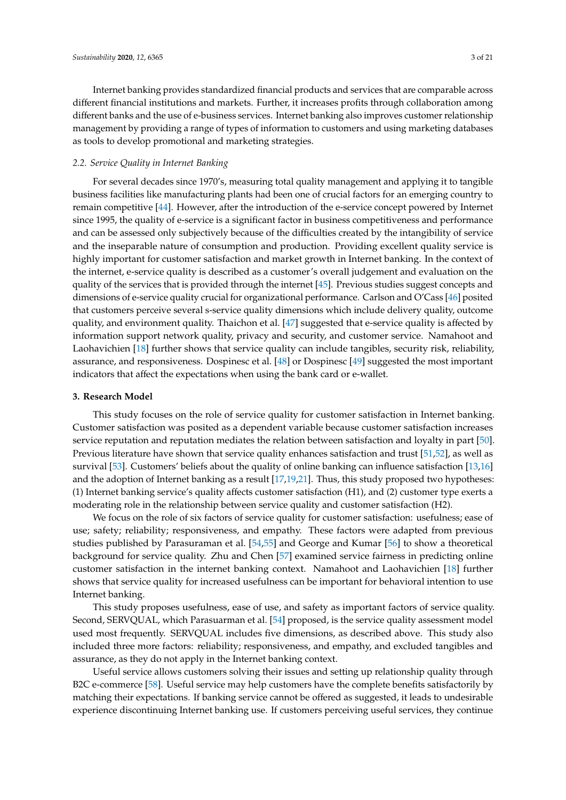Internet banking provides standardized financial products and services that are comparable across different financial institutions and markets. Further, it increases profits through collaboration among different banks and the use of e-business services. Internet banking also improves customer relationship management by providing a range of types of information to customers and using marketing databases as tools to develop promotional and marketing strategies.

## *2.2. Service Quality in Internet Banking*

For several decades since 1970's, measuring total quality management and applying it to tangible business facilities like manufacturing plants had been one of crucial factors for an emerging country to remain competitive [\[44\]](#page-18-19). However, after the introduction of the e-service concept powered by Internet since 1995, the quality of e-service is a significant factor in business competitiveness and performance and can be assessed only subjectively because of the difficulties created by the intangibility of service and the inseparable nature of consumption and production. Providing excellent quality service is highly important for customer satisfaction and market growth in Internet banking. In the context of the internet, e-service quality is described as a customer's overall judgement and evaluation on the quality of the services that is provided through the internet [\[45\]](#page-18-20). Previous studies suggest concepts and dimensions of e-service quality crucial for organizational performance. Carlson and O'Cass [\[46\]](#page-18-21) posited that customers perceive several s-service quality dimensions which include delivery quality, outcome quality, and environment quality. Thaichon et al. [\[47\]](#page-18-22) suggested that e-service quality is affected by information support network quality, privacy and security, and customer service. Namahoot and Laohavichien [\[18\]](#page-17-12) further shows that service quality can include tangibles, security risk, reliability, assurance, and responsiveness. Dospinesc et al. [\[48\]](#page-19-0) or Dospinesc [\[49\]](#page-19-1) suggested the most important indicators that affect the expectations when using the bank card or e-wallet.

## **3. Research Model**

This study focuses on the role of service quality for customer satisfaction in Internet banking. Customer satisfaction was posited as a dependent variable because customer satisfaction increases service reputation and reputation mediates the relation between satisfaction and loyalty in part [\[50\]](#page-19-2). Previous literature have shown that service quality enhances satisfaction and trust [\[51](#page-19-3)[,52\]](#page-19-4), as well as survival [\[53\]](#page-19-5). Customers' beliefs about the quality of online banking can influence satisfaction [\[13](#page-17-6)[,16\]](#page-17-13) and the adoption of Internet banking as a result [\[17](#page-17-14)[,19](#page-17-15)[,21\]](#page-17-8). Thus, this study proposed two hypotheses: (1) Internet banking service's quality affects customer satisfaction (H1), and (2) customer type exerts a moderating role in the relationship between service quality and customer satisfaction (H2).

We focus on the role of six factors of service quality for customer satisfaction: usefulness; ease of use; safety; reliability; responsiveness, and empathy. These factors were adapted from previous studies published by Parasuraman et al. [\[54,](#page-19-6)[55\]](#page-19-7) and George and Kumar [\[56\]](#page-19-8) to show a theoretical background for service quality. Zhu and Chen [\[57\]](#page-19-9) examined service fairness in predicting online customer satisfaction in the internet banking context. Namahoot and Laohavichien [\[18\]](#page-17-12) further shows that service quality for increased usefulness can be important for behavioral intention to use Internet banking.

This study proposes usefulness, ease of use, and safety as important factors of service quality. Second, SERVQUAL, which Parasuarman et al. [\[54\]](#page-19-6) proposed, is the service quality assessment model used most frequently. SERVQUAL includes five dimensions, as described above. This study also included three more factors: reliability; responsiveness, and empathy, and excluded tangibles and assurance, as they do not apply in the Internet banking context.

Useful service allows customers solving their issues and setting up relationship quality through B2C e-commerce [\[58\]](#page-19-10). Useful service may help customers have the complete benefits satisfactorily by matching their expectations. If banking service cannot be offered as suggested, it leads to undesirable experience discontinuing Internet banking use. If customers perceiving useful services, they continue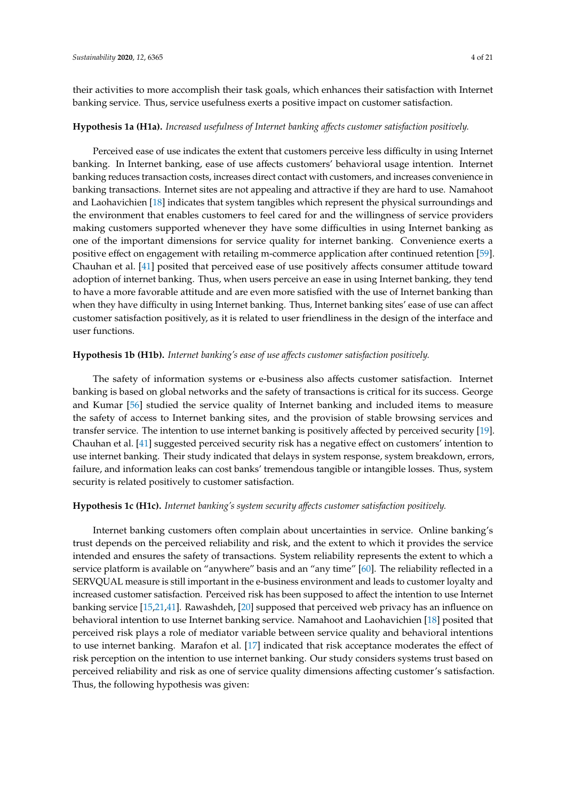their activities to more accomplish their task goals, which enhances their satisfaction with Internet banking service. Thus, service usefulness exerts a positive impact on customer satisfaction.

#### **Hypothesis 1a (H1a).** *Increased usefulness of Internet banking a*ff*ects customer satisfaction positively.*

Perceived ease of use indicates the extent that customers perceive less difficulty in using Internet banking. In Internet banking, ease of use affects customers' behavioral usage intention. Internet banking reduces transaction costs, increases direct contact with customers, and increases convenience in banking transactions. Internet sites are not appealing and attractive if they are hard to use. Namahoot and Laohavichien [\[18\]](#page-17-12) indicates that system tangibles which represent the physical surroundings and the environment that enables customers to feel cared for and the willingness of service providers making customers supported whenever they have some difficulties in using Internet banking as one of the important dimensions for service quality for internet banking. Convenience exerts a positive effect on engagement with retailing m-commerce application after continued retention [\[59\]](#page-19-11). Chauhan et al. [\[41\]](#page-18-16) posited that perceived ease of use positively affects consumer attitude toward adoption of internet banking. Thus, when users perceive an ease in using Internet banking, they tend to have a more favorable attitude and are even more satisfied with the use of Internet banking than when they have difficulty in using Internet banking. Thus, Internet banking sites' ease of use can affect customer satisfaction positively, as it is related to user friendliness in the design of the interface and user functions.

## **Hypothesis 1b (H1b).** *Internet banking's ease of use a*ff*ects customer satisfaction positively.*

The safety of information systems or e-business also affects customer satisfaction. Internet banking is based on global networks and the safety of transactions is critical for its success. George and Kumar [\[56\]](#page-19-8) studied the service quality of Internet banking and included items to measure the safety of access to Internet banking sites, and the provision of stable browsing services and transfer service. The intention to use internet banking is positively affected by perceived security [\[19\]](#page-17-15). Chauhan et al. [\[41\]](#page-18-16) suggested perceived security risk has a negative effect on customers' intention to use internet banking. Their study indicated that delays in system response, system breakdown, errors, failure, and information leaks can cost banks' tremendous tangible or intangible losses. Thus, system security is related positively to customer satisfaction.

## **Hypothesis 1c (H1c).** *Internet banking's system security a*ff*ects customer satisfaction positively.*

Internet banking customers often complain about uncertainties in service. Online banking's trust depends on the perceived reliability and risk, and the extent to which it provides the service intended and ensures the safety of transactions. System reliability represents the extent to which a service platform is available on "anywhere" basis and an "any time" [\[60\]](#page-19-12). The reliability reflected in a SERVQUAL measure is still important in the e-business environment and leads to customer loyalty and increased customer satisfaction. Perceived risk has been supposed to affect the intention to use Internet banking service [\[15,](#page-17-7)[21](#page-17-8)[,41\]](#page-18-16). Rawashdeh, [\[20\]](#page-17-16) supposed that perceived web privacy has an influence on behavioral intention to use Internet banking service. Namahoot and Laohavichien [\[18\]](#page-17-12) posited that perceived risk plays a role of mediator variable between service quality and behavioral intentions to use internet banking. Marafon et al. [\[17\]](#page-17-14) indicated that risk acceptance moderates the effect of risk perception on the intention to use internet banking. Our study considers systems trust based on perceived reliability and risk as one of service quality dimensions affecting customer's satisfaction. Thus, the following hypothesis was given: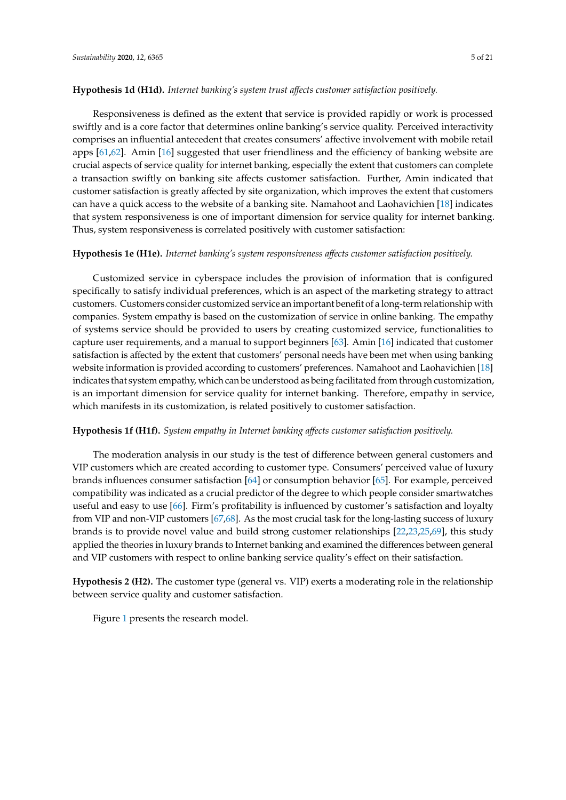## **Hypothesis 1d (H1d).** *Internet banking's system trust a*ff*ects customer satisfaction positively.*

Responsiveness is defined as the extent that service is provided rapidly or work is processed swiftly and is a core factor that determines online banking's service quality. Perceived interactivity comprises an influential antecedent that creates consumers' affective involvement with mobile retail apps [\[61](#page-19-13)[,62\]](#page-19-14). Amin [\[16\]](#page-17-13) suggested that user friendliness and the efficiency of banking website are crucial aspects of service quality for internet banking, especially the extent that customers can complete a transaction swiftly on banking site affects customer satisfaction. Further, Amin indicated that customer satisfaction is greatly affected by site organization, which improves the extent that customers can have a quick access to the website of a banking site. Namahoot and Laohavichien [\[18\]](#page-17-12) indicates that system responsiveness is one of important dimension for service quality for internet banking. Thus, system responsiveness is correlated positively with customer satisfaction:

## **Hypothesis 1e (H1e).** *Internet banking's system responsiveness a*ff*ects customer satisfaction positively.*

Customized service in cyberspace includes the provision of information that is configured specifically to satisfy individual preferences, which is an aspect of the marketing strategy to attract customers. Customers consider customized service an important benefit of a long-term relationship with companies. System empathy is based on the customization of service in online banking. The empathy of systems service should be provided to users by creating customized service, functionalities to capture user requirements, and a manual to support beginners [\[63\]](#page-19-15). Amin [\[16\]](#page-17-13) indicated that customer satisfaction is affected by the extent that customers' personal needs have been met when using banking website information is provided according to customers' preferences. Namahoot and Laohavichien [\[18\]](#page-17-12) indicates that system empathy, which can be understood as being facilitated from through customization, is an important dimension for service quality for internet banking. Therefore, empathy in service, which manifests in its customization, is related positively to customer satisfaction.

## **Hypothesis 1f (H1f).** *System empathy in Internet banking a*ff*ects customer satisfaction positively.*

The moderation analysis in our study is the test of difference between general customers and VIP customers which are created according to customer type. Consumers' perceived value of luxury brands influences consumer satisfaction [\[64\]](#page-19-16) or consumption behavior [\[65\]](#page-19-17). For example, perceived compatibility was indicated as a crucial predictor of the degree to which people consider smartwatches useful and easy to use [\[66\]](#page-19-18). Firm's profitability is influenced by customer's satisfaction and loyalty from VIP and non-VIP customers [\[67,](#page-19-19)[68\]](#page-19-20). As the most crucial task for the long-lasting success of luxury brands is to provide novel value and build strong customer relationships [\[22,](#page-17-9)[23](#page-18-2)[,25,](#page-18-0)[69\]](#page-19-21), this study applied the theories in luxury brands to Internet banking and examined the differences between general and VIP customers with respect to online banking service quality's effect on their satisfaction.

**Hypothesis 2 (H2).** The customer type (general vs. VIP) exerts a moderating role in the relationship between service quality and customer satisfaction.

Figure [1](#page-5-0) presents the research model.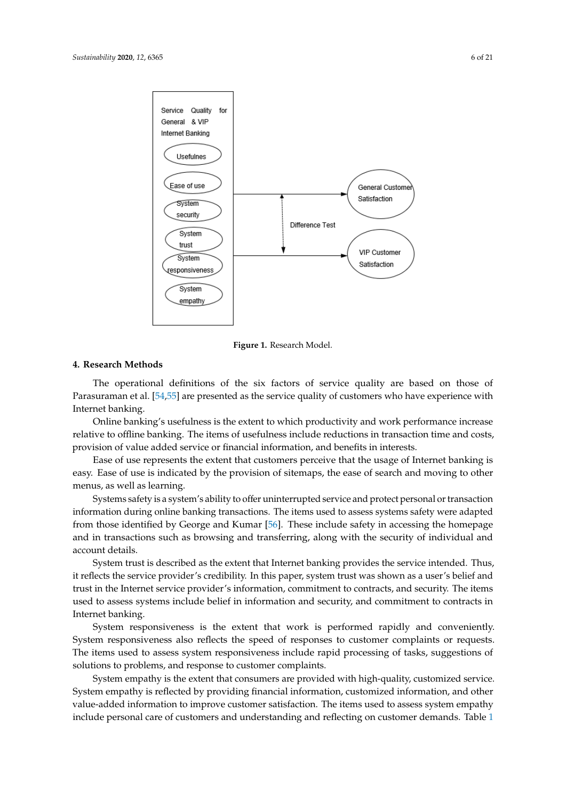<span id="page-5-0"></span>

**Figure 1.** Research Model. **Figure 1.** Research Model.

## **4. Research Methods**

**4. Research Methods**  Parasuraman et al. [\[54](#page-19-6)[,55\]](#page-19-7) are presented as the service quality of customers who have experience with Internet banking. The operational definitions of the six factors of service quality are based on those of

Online banking's usefulness is the extent to which productivity and work performance increase relative to offline banking. The items of usefulness include reductions in transaction time and costs, provision of value added service or financial information, and benefits in interests.

Ease of use represents the extent that customers perceive that the usage of Internet banking is easy. Ease of use is indicated by the provision of sitemaps, the ease of search and moving to other menus, as well as learning.

Systems safety is a system's ability to offer uninterrupted service and protect personal or transaction information during online banking transactions. The items used to assess systems safety were adapted from those identified by George and Kumar [\[56\]](#page-19-8). These include safety in accessing the homepage and in transactions such as browsing and transferring, along with the security of individual and homepage and in transactions such as browsing and transferring, along with the security of  $\alpha$  and transferrences of  $\alpha$ 

System trust is described as the extent that Internet banking provides the service intended. Thus, it reflects the service provider's credibility. In this paper, system trust was shown as a user's belief and trust in the Internet service provider's information, commitment to contracts, and security. The items used to assess systems include belief in information and security, and commitment to contracts in Internet banking.

System responsiveness is the extent that work is performed rapidly and conveniently. System responsiveness also reflects the speed of responses to customer complaints or requests. The items used to assess system responsiveness include rapid processing of tasks, suggestions of solutions to problems, and response to customer complaints.

System empathy is the extent that consumers are provided with high-quality, customized service. System empathy is reflected by providing financial information, customized information, and other value-added information to improve customer satisfaction. The items used to assess system empathy include personal care of customers and understanding and reflecting on customer demands. Table [1](#page-7-0)

empathy include personal care of customers and understanding and reflecting on customer demands.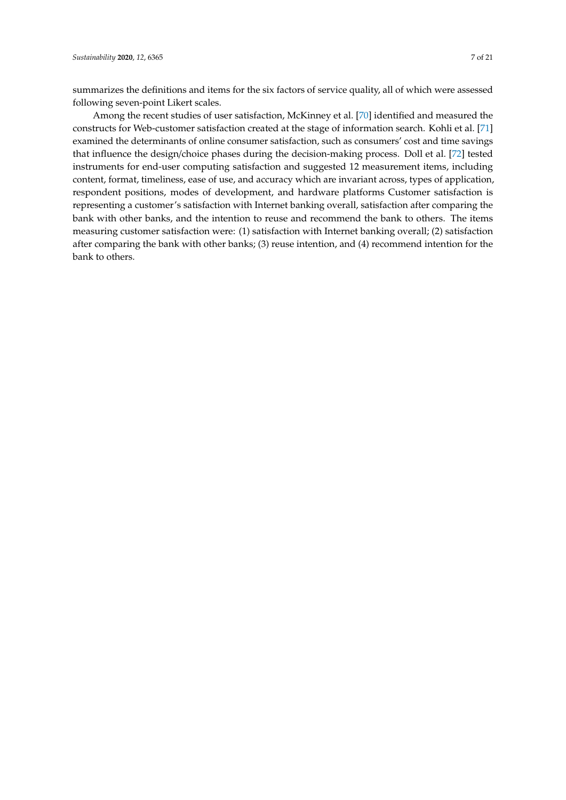summarizes the definitions and items for the six factors of service quality, all of which were assessed following seven-point Likert scales.

Among the recent studies of user satisfaction, McKinney et al. [\[70\]](#page-19-22) identified and measured the constructs for Web-customer satisfaction created at the stage of information search. Kohli et al. [\[71\]](#page-19-23) examined the determinants of online consumer satisfaction, such as consumers' cost and time savings that influence the design/choice phases during the decision-making process. Doll et al. [\[72\]](#page-19-24) tested instruments for end-user computing satisfaction and suggested 12 measurement items, including content, format, timeliness, ease of use, and accuracy which are invariant across, types of application, respondent positions, modes of development, and hardware platforms Customer satisfaction is representing a customer's satisfaction with Internet banking overall, satisfaction after comparing the bank with other banks, and the intention to reuse and recommend the bank to others. The items measuring customer satisfaction were: (1) satisfaction with Internet banking overall; (2) satisfaction after comparing the bank with other banks; (3) reuse intention, and (4) recommend intention for the bank to others.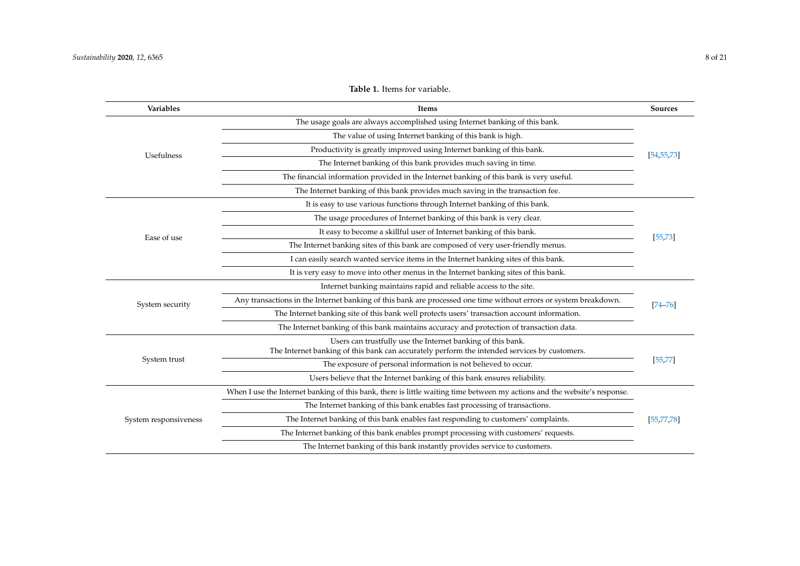|            | <b>Table 1.</b> Items for variable.                                          |            |
|------------|------------------------------------------------------------------------------|------------|
| Variables  | Items                                                                        | Sources    |
|            | The usage goals are always accomplished using Internet banking of this bank. |            |
|            | The value of using Internet banking of this bank is high.                    |            |
| Teefulness | Productivity is greatly improved using Internet banking of this bank.        | [54.55.73] |

<span id="page-7-0"></span>

|                       | The usage goals are always accomplished using Internet banking of this bank.                                                                                |             |  |  |  |  |  |
|-----------------------|-------------------------------------------------------------------------------------------------------------------------------------------------------------|-------------|--|--|--|--|--|
|                       | The value of using Internet banking of this bank is high.                                                                                                   |             |  |  |  |  |  |
| Usefulness            | Productivity is greatly improved using Internet banking of this bank.                                                                                       |             |  |  |  |  |  |
|                       | The Internet banking of this bank provides much saving in time.                                                                                             |             |  |  |  |  |  |
|                       | The financial information provided in the Internet banking of this bank is very useful.                                                                     |             |  |  |  |  |  |
|                       | The Internet banking of this bank provides much saving in the transaction fee.                                                                              |             |  |  |  |  |  |
|                       | It is easy to use various functions through Internet banking of this bank.                                                                                  |             |  |  |  |  |  |
|                       | The usage procedures of Internet banking of this bank is very clear.                                                                                        |             |  |  |  |  |  |
| Ease of use           | It easy to become a skillful user of Internet banking of this bank.                                                                                         | [55, 73]    |  |  |  |  |  |
|                       | The Internet banking sites of this bank are composed of very user-friendly menus.                                                                           |             |  |  |  |  |  |
|                       | I can easily search wanted service items in the Internet banking sites of this bank.                                                                        |             |  |  |  |  |  |
|                       | It is very easy to move into other menus in the Internet banking sites of this bank.                                                                        |             |  |  |  |  |  |
|                       | Internet banking maintains rapid and reliable access to the site.                                                                                           |             |  |  |  |  |  |
| System security       | Any transactions in the Internet banking of this bank are processed one time without errors or system breakdown.                                            | $[74 - 76]$ |  |  |  |  |  |
|                       | The Internet banking site of this bank well protects users' transaction account information.                                                                |             |  |  |  |  |  |
|                       | The Internet banking of this bank maintains accuracy and protection of transaction data.                                                                    |             |  |  |  |  |  |
|                       | Users can trustfully use the Internet banking of this bank.<br>The Internet banking of this bank can accurately perform the intended services by customers. |             |  |  |  |  |  |
| System trust          | The exposure of personal information is not believed to occur.                                                                                              | [55, 77]    |  |  |  |  |  |
|                       | Users believe that the Internet banking of this bank ensures reliability.                                                                                   |             |  |  |  |  |  |
|                       | When I use the Internet banking of this bank, there is little waiting time between my actions and the website's response.                                   |             |  |  |  |  |  |
|                       | The Internet banking of this bank enables fast processing of transactions.                                                                                  |             |  |  |  |  |  |
| System responsiveness | The Internet banking of this bank enables fast responding to customers' complaints.                                                                         |             |  |  |  |  |  |
|                       | The Internet banking of this bank enables prompt processing with customers' requests.                                                                       |             |  |  |  |  |  |
|                       | The Internet banking of this bank instantly provides service to customers.                                                                                  |             |  |  |  |  |  |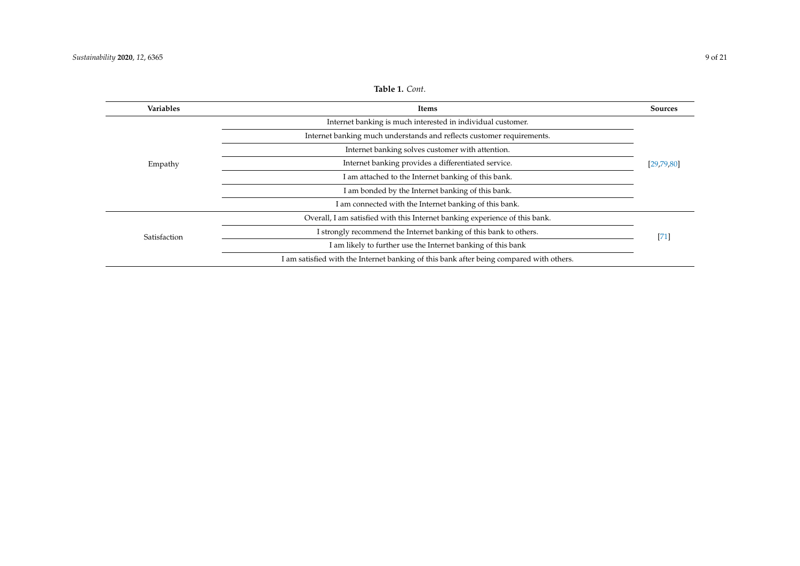## **Table 1.** *Cont*.

| <b>Variables</b> | Items                                                                                   | Sources    |  |  |  |
|------------------|-----------------------------------------------------------------------------------------|------------|--|--|--|
|                  | Internet banking is much interested in individual customer.                             |            |  |  |  |
|                  | Internet banking much understands and reflects customer requirements.                   |            |  |  |  |
|                  | Internet banking solves customer with attention.                                        |            |  |  |  |
| Empathy          | Internet banking provides a differentiated service.                                     | [29,79,80] |  |  |  |
|                  | I am attached to the Internet banking of this bank.                                     |            |  |  |  |
|                  | I am bonded by the Internet banking of this bank.                                       |            |  |  |  |
|                  | I am connected with the Internet banking of this bank.                                  |            |  |  |  |
|                  | Overall, I am satisfied with this Internet banking experience of this bank.             |            |  |  |  |
| Satisfaction     | I strongly recommend the Internet banking of this bank to others.                       | $[71]$     |  |  |  |
|                  | I am likely to further use the Internet banking of this bank                            |            |  |  |  |
|                  | I am satisfied with the Internet banking of this bank after being compared with others. |            |  |  |  |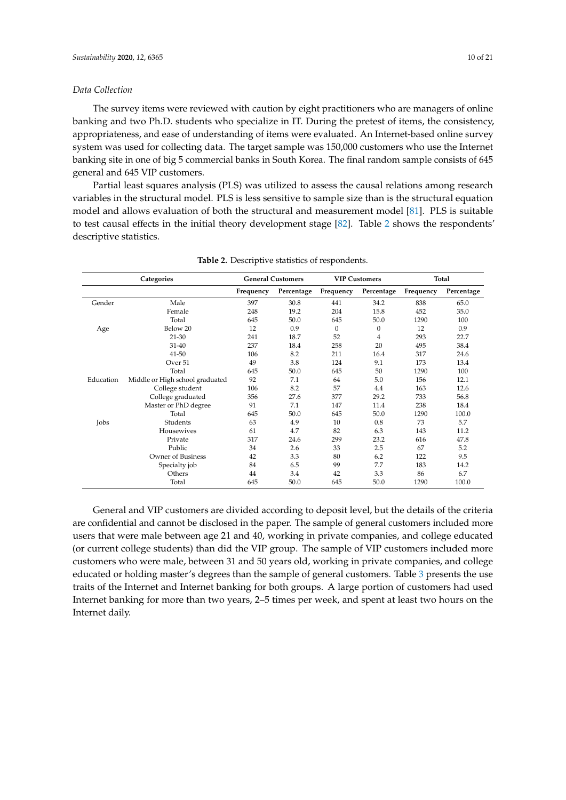## *Data Collection*

The survey items were reviewed with caution by eight practitioners who are managers of online banking and two Ph.D. students who specialize in IT. During the pretest of items, the consistency, appropriateness, and ease of understanding of items were evaluated. An Internet-based online survey system was used for collecting data. The target sample was 150,000 customers who use the Internet banking site in one of big 5 commercial banks in South Korea. The final random sample consists of 645 general and 645 VIP customers.

Partial least squares analysis (PLS) was utilized to assess the causal relations among research variables in the structural model. PLS is less sensitive to sample size than is the structural equation model and allows evaluation of both the structural and measurement model [\[81\]](#page-20-6). PLS is suitable to test causal effects in the initial theory development stage [\[82\]](#page-20-7). Table [2](#page-9-0) shows the respondents' descriptive statistics.

<span id="page-9-0"></span>

| Categories |                                 |           | <b>General Customers</b> | <b>VIP Customers</b> |              | Total     |            |
|------------|---------------------------------|-----------|--------------------------|----------------------|--------------|-----------|------------|
|            |                                 | Frequency | Percentage               | Frequency            | Percentage   | Frequency | Percentage |
| Gender     | Male                            | 397       | 30.8                     | 441                  | 34.2         | 838       | 65.0       |
|            | Female                          | 248       | 19.2                     | 204                  | 15.8         | 452       | 35.0       |
|            | Total                           | 645       | 50.0                     | 645                  | 50.0         | 1290      | 100        |
| Age        | Below 20                        | 12        | 0.9                      | $\boldsymbol{0}$     | $\mathbf{0}$ | 12        | 0.9        |
|            | $21 - 30$                       | 241       | 18.7                     | 52                   | 4            | 293       | 22.7       |
|            | $31 - 40$                       | 237       | 18.4                     | 258                  | 20           | 495       | 38.4       |
|            | $41 - 50$                       | 106       | 8.2                      | 211                  | 16.4         | 317       | 24.6       |
|            | Over 51                         | 49        | 3.8                      | 124                  | 9.1          | 173       | 13.4       |
|            | Total                           | 645       | 50.0                     | 645                  | 50           | 1290      | 100        |
| Education  | Middle or High school graduated | 92        | 7.1                      | 64                   | 5.0          | 156       | 12.1       |
|            | College student                 | 106       | 8.2                      | 57                   | 4.4          | 163       | 12.6       |
|            | College graduated               | 356       | 27.6                     | 377                  | 29.2         | 733       | 56.8       |
|            | Master or PhD degree            | 91        | 7.1                      | 147                  | 11.4         | 238       | 18.4       |
|            | Total                           | 645       | 50.0                     | 645                  | 50.0         | 1290      | 100.0      |
| Jobs       | Students                        | 63        | 4.9                      | 10                   | 0.8          | 73        | 5.7        |
|            | Housewives                      | 61        | 4.7                      | 82                   | 6.3          | 143       | 11.2       |
|            | Private                         | 317       | 24.6                     | 299                  | 23.2         | 616       | 47.8       |
|            | Public                          | 34        | 2.6                      | 33                   | 2.5          | 67        | 5.2        |
|            | <b>Owner of Business</b>        | 42        | 3.3                      | 80                   | 6.2          | 122       | 9.5        |
|            | Specialty job                   | 84        | 6.5                      | 99                   | 7.7          | 183       | 14.2       |
|            | Others                          | 44        | 3.4                      | 42                   | 3.3          | 86        | 6.7        |
|            | Total                           | 645       | 50.0                     | 645                  | 50.0         | 1290      | 100.0      |

**Table 2.** Descriptive statistics of respondents.

General and VIP customers are divided according to deposit level, but the details of the criteria are confidential and cannot be disclosed in the paper. The sample of general customers included more users that were male between age 21 and 40, working in private companies, and college educated (or current college students) than did the VIP group. The sample of VIP customers included more customers who were male, between 31 and 50 years old, working in private companies, and college educated or holding master's degrees than the sample of general customers. Table [3](#page-10-0) presents the use traits of the Internet and Internet banking for both groups. A large portion of customers had used Internet banking for more than two years, 2–5 times per week, and spent at least two hours on the Internet daily.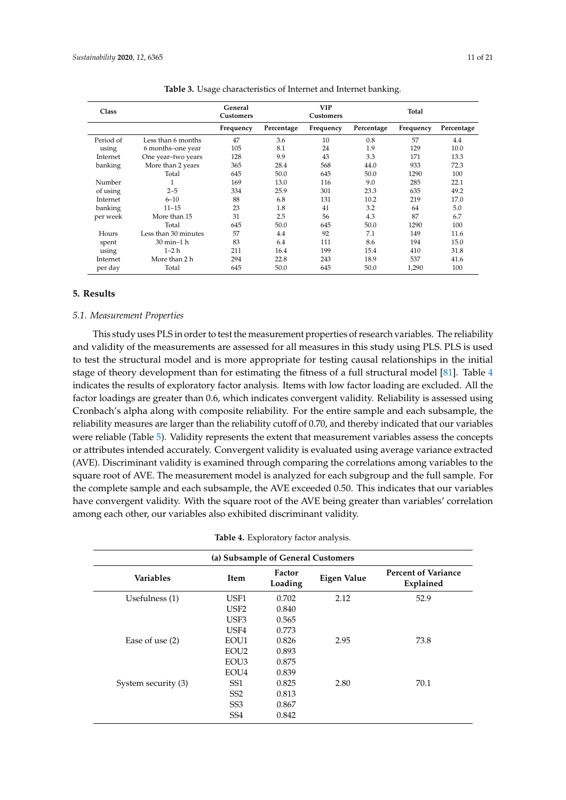<span id="page-10-0"></span>

| <b>Class</b> |                      | General<br><b>Customers</b> |            | <b>VIP</b><br>Customers |            | <b>Total</b> |            |
|--------------|----------------------|-----------------------------|------------|-------------------------|------------|--------------|------------|
|              |                      | Frequency                   | Percentage | Frequency               | Percentage | Frequency    | Percentage |
| Period of    | Less than 6 months   | 47                          | 3.6        | 10                      | 0.8        | 57           | 4.4        |
| using        | 6 months-one year    | 105                         | 8.1        | 24                      | 1.9        | 129          | 10.0       |
| Internet     | One year-two years   | 128                         | 9.9        | 43                      | 3.3        | 171          | 13.3       |
| banking      | More than 2 years    | 365                         | 28.4       | 568                     | 44.0       | 933          | 72.3       |
|              | Total                | 645                         | 50.0       | 645                     | 50.0       | 1290         | 100        |
| Number       |                      | 169                         | 13.0       | 116                     | 9.0        | 285          | 22.1       |
| of using     | $2 - 5$              | 334                         | 25.9       | 301                     | 23.3       | 635          | 49.2       |
| Internet     | $6 - 10$             | 88                          | 6.8        | 131                     | 10.2       | 219          | 17.0       |
| banking      | $11 - 15$            | 23                          | 1.8        | 41                      | 3.2        | 64           | 5.0        |
| per week     | More than 15         | 31                          | 2.5        | 56                      | 4.3        | 87           | 6.7        |
|              | Total                | 645                         | 50.0       | 645                     | 50.0       | 1290         | 100        |
| Hours        | Less than 30 minutes | 57                          | 4.4        | 92                      | 7.1        | 149          | 11.6       |
| spent        | 30 min-1 h           | 83                          | 6.4        | 111                     | 8.6        | 194          | 15.0       |
| using        | $1-2h$               | 211                         | 16.4       | 199                     | 15.4       | 410          | 31.8       |
| Internet     | More than 2 h        | 294                         | 22.8       | 243                     | 18.9       | 537          | 41.6       |
| per day      | Total                | 645                         | 50.0       | 645                     | 50.0       | 1,290        | 100        |

**Table 3.** Usage characteristics of Internet and Internet banking.

## **5. Results**

## *5.1. Measurement Properties*

This study uses PLS in order to test the measurement properties of research variables. The reliability and validity of the measurements are assessed for all measures in this study using PLS. PLS is used to test the structural model and is more appropriate for testing causal relationships in the initial stage of theory development than for estimating the fitness of a full structural model [\[81\]](#page-20-6). Table [4](#page-10-1) indicates the results of exploratory factor analysis. Items with low factor loading are excluded. All the factor loadings are greater than 0.6, which indicates convergent validity. Reliability is assessed using Cronbach's alpha along with composite reliability. For the entire sample and each subsample, the reliability measures are larger than the reliability cutoff of 0.70, and thereby indicated that our variables were reliable (Table [5\)](#page-13-0). Validity represents the extent that measurement variables assess the concepts or attributes intended accurately. Convergent validity is evaluated using average variance extracted (AVE). Discriminant validity is examined through comparing the correlations among variables to the square root of AVE. The measurement model is analyzed for each subgroup and the full sample. For the complete sample and each subsample, the AVE exceeded 0.50. This indicates that our variables have convergent validity. With the square root of the AVE being greater than variables' correlation among each other, our variables also exhibited discriminant validity.

|  | <b>Table 4.</b> Exploratory factor analysis. |  |  |
|--|----------------------------------------------|--|--|
|--|----------------------------------------------|--|--|

<span id="page-10-1"></span>

| (a) Subsample of General Customers |                  |                   |             |                                         |  |  |  |  |
|------------------------------------|------------------|-------------------|-------------|-----------------------------------------|--|--|--|--|
| <b>Variables</b>                   | Item             | Factor<br>Loading | Eigen Value | <b>Percent of Variance</b><br>Explained |  |  |  |  |
| Usefulness (1)                     | USF1             | 0.702             | 2.12        | 52.9                                    |  |  |  |  |
|                                    | USF <sub>2</sub> | 0.840             |             |                                         |  |  |  |  |
|                                    | USE3             | 0.565             |             |                                         |  |  |  |  |
|                                    | USF4             | 0.773             |             |                                         |  |  |  |  |
| Ease of use $(2)$                  | EOU1             | 0.826             | 2.95        | 73.8                                    |  |  |  |  |
|                                    | EOU <sub>2</sub> | 0.893             |             |                                         |  |  |  |  |
|                                    | EOU <sub>3</sub> | 0.875             |             |                                         |  |  |  |  |
|                                    | EOU <sub>4</sub> | 0.839             |             |                                         |  |  |  |  |
| System security (3)                | SS <sub>1</sub>  | 0.825             | 2.80        | 70.1                                    |  |  |  |  |
|                                    | SS <sub>2</sub>  | 0.813             |             |                                         |  |  |  |  |
|                                    | SS <sub>3</sub>  | 0.867             |             |                                         |  |  |  |  |
|                                    | SS <sub>4</sub>  | 0.842             |             |                                         |  |  |  |  |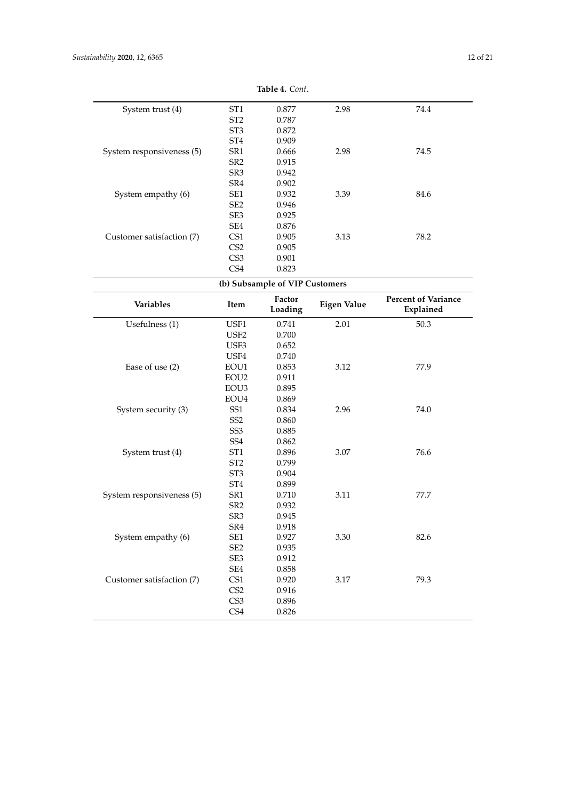|                           |                        | $1$ avit 4. Com.               |                    |                                         |
|---------------------------|------------------------|--------------------------------|--------------------|-----------------------------------------|
| System trust (4)          | ST <sub>1</sub>        | 0.877                          | 2.98               | 74.4                                    |
|                           | ST <sub>2</sub>        | 0.787                          |                    |                                         |
|                           | ST <sub>3</sub>        | 0.872                          |                    |                                         |
|                           | ST <sub>4</sub>        | 0.909                          |                    |                                         |
| System responsiveness (5) | SR1                    | 0.666                          | 2.98               | 74.5                                    |
|                           | SR <sub>2</sub>        | 0.915                          |                    |                                         |
|                           | SR <sub>3</sub>        | 0.942                          |                    |                                         |
|                           | SR4                    | 0.902                          |                    |                                         |
| System empathy (6)        | SE1                    | 0.932                          | 3.39               | 84.6                                    |
|                           | SE <sub>2</sub>        | 0.946                          |                    |                                         |
|                           | SE3                    | 0.925                          |                    |                                         |
|                           | SE4                    | 0.876                          |                    |                                         |
| Customer satisfaction (7) | CS1                    | 0.905                          | 3.13               | 78.2                                    |
|                           | CS <sub>2</sub>        | 0.905                          |                    |                                         |
|                           | CS <sub>3</sub>        | 0.901                          |                    |                                         |
|                           | CS4                    | 0.823                          |                    |                                         |
|                           |                        | (b) Subsample of VIP Customers |                    |                                         |
| Variables                 | Item                   | Factor<br>Loading              | <b>Eigen Value</b> | <b>Percent of Variance</b><br>Explained |
| Usefulness (1)            | USF1                   | 0.741                          | 2.01               | 50.3                                    |
|                           | USF <sub>2</sub>       | 0.700                          |                    |                                         |
|                           | USF3                   | 0.652                          |                    |                                         |
|                           | USF4                   | 0.740                          |                    |                                         |
| Ease of use (2)           | EOU1                   | 0.853                          | 3.12               | 77.9                                    |
|                           | EOU <sub>2</sub>       | 0.911                          |                    |                                         |
|                           | EOU3                   | 0.895                          |                    |                                         |
|                           | EOU4                   | 0.869                          |                    |                                         |
| System security (3)       | SS1                    | 0.834                          | 2.96               | 74.0                                    |
|                           | SS <sub>2</sub>        | 0.860                          |                    |                                         |
|                           | SS <sub>3</sub>        | 0.885                          |                    |                                         |
|                           | SS <sub>4</sub>        | 0.862                          |                    |                                         |
| System trust (4)          | ST <sub>1</sub>        | 0.896                          | 3.07               | 76.6                                    |
|                           | ST <sub>2</sub>        | 0.799                          |                    |                                         |
|                           | ST <sub>3</sub>        | 0.904                          |                    |                                         |
|                           | ST <sub>4</sub>        | 0.899                          |                    |                                         |
| System responsiveness (5) | SR1                    | 0.710                          | 3.11               | 77.7                                    |
|                           | SR <sub>2</sub>        | 0.932                          |                    |                                         |
|                           | SR <sub>3</sub>        | 0.945                          |                    |                                         |
|                           | SR4                    | 0.918                          |                    |                                         |
| System empathy (6)        | SE1                    | 0.927                          | 3.30               | 82.6                                    |
|                           | SE <sub>2</sub>        | 0.935                          |                    |                                         |
|                           | SE3                    | 0.912                          |                    |                                         |
|                           | $\operatorname{SE4}$   | 0.858                          |                    |                                         |
|                           |                        |                                |                    | 79.3                                    |
|                           |                        |                                |                    |                                         |
| Customer satisfaction (7) | CS1                    | 0.920                          | $3.17\,$           |                                         |
|                           | CS <sub>2</sub>        | 0.916                          |                    |                                         |
|                           | CS <sub>3</sub><br>CS4 | 0.896<br>0.826                 |                    |                                         |

**Table 4.** *Cont*.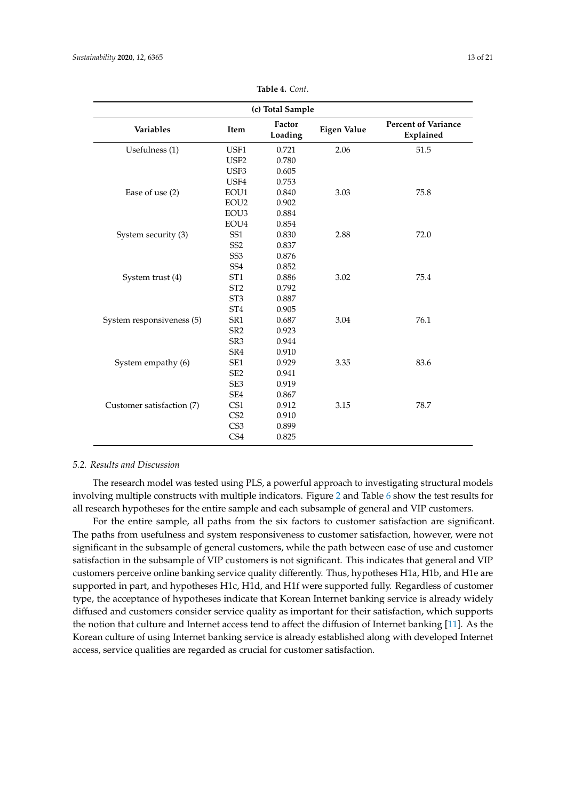| (c) Total Sample          |                  |                   |                    |                                         |  |  |  |
|---------------------------|------------------|-------------------|--------------------|-----------------------------------------|--|--|--|
| Variables                 | Item             | Factor<br>Loading | <b>Eigen Value</b> | <b>Percent of Variance</b><br>Explained |  |  |  |
| Usefulness (1)            | USF1             | 0.721             | 2.06               | 51.5                                    |  |  |  |
|                           | USF <sub>2</sub> | 0.780             |                    |                                         |  |  |  |
|                           | USF3             | 0.605             |                    |                                         |  |  |  |
|                           | USF4             | 0.753             |                    |                                         |  |  |  |
| Ease of use (2)           | EOU1             | 0.840             | 3.03               | 75.8                                    |  |  |  |
|                           | EOU <sub>2</sub> | 0.902             |                    |                                         |  |  |  |
|                           | EOU <sub>3</sub> | 0.884             |                    |                                         |  |  |  |
|                           | EOU4             | 0.854             |                    |                                         |  |  |  |
| System security (3)       | SS <sub>1</sub>  | 0.830             | 2.88               | 72.0                                    |  |  |  |
|                           | SS <sub>2</sub>  | 0.837             |                    |                                         |  |  |  |
|                           | SS <sub>3</sub>  | 0.876             |                    |                                         |  |  |  |
|                           | SS <sub>4</sub>  | 0.852             |                    |                                         |  |  |  |
| System trust (4)          | ST <sub>1</sub>  | 0.886             | 3.02               | 75.4                                    |  |  |  |
|                           | ST <sub>2</sub>  | 0.792             |                    |                                         |  |  |  |
|                           | ST <sub>3</sub>  | 0.887             |                    |                                         |  |  |  |
|                           | ST <sub>4</sub>  | 0.905             |                    |                                         |  |  |  |
| System responsiveness (5) | SR <sub>1</sub>  | 0.687             | 3.04               | 76.1                                    |  |  |  |
|                           | SR <sub>2</sub>  | 0.923             |                    |                                         |  |  |  |
|                           | SR <sub>3</sub>  | 0.944             |                    |                                         |  |  |  |
|                           | SR4              | 0.910             |                    |                                         |  |  |  |
| System empathy (6)        | SE1              | 0.929             | 3.35               | 83.6                                    |  |  |  |
|                           | SE <sub>2</sub>  | 0.941             |                    |                                         |  |  |  |
|                           | SE <sub>3</sub>  | 0.919             |                    |                                         |  |  |  |
|                           | SE4              | 0.867             |                    |                                         |  |  |  |
| Customer satisfaction (7) | CS1              | 0.912             | 3.15               | 78.7                                    |  |  |  |
|                           | CS <sub>2</sub>  | 0.910             |                    |                                         |  |  |  |
|                           | CS <sub>3</sub>  | 0.899             |                    |                                         |  |  |  |
|                           | CS4              | 0.825             |                    |                                         |  |  |  |

**Table 4.** *Cont*.

## *5.2. Results and Discussion*

The research model was tested using PLS, a powerful approach to investigating structural models involving multiple constructs with multiple indicators. Figure [2](#page-14-0) and Table [6](#page-13-1) show the test results for all research hypotheses for the entire sample and each subsample of general and VIP customers.

For the entire sample, all paths from the six factors to customer satisfaction are significant. The paths from usefulness and system responsiveness to customer satisfaction, however, were not significant in the subsample of general customers, while the path between ease of use and customer satisfaction in the subsample of VIP customers is not significant. This indicates that general and VIP customers perceive online banking service quality differently. Thus, hypotheses H1a, H1b, and H1e are supported in part, and hypotheses H1c, H1d, and H1f were supported fully. Regardless of customer type, the acceptance of hypotheses indicate that Korean Internet banking service is already widely diffused and customers consider service quality as important for their satisfaction, which supports the notion that culture and Internet access tend to affect the diffusion of Internet banking [\[11\]](#page-17-17). As the Korean culture of using Internet banking service is already established along with developed Internet access, service qualities are regarded as crucial for customer satisfaction.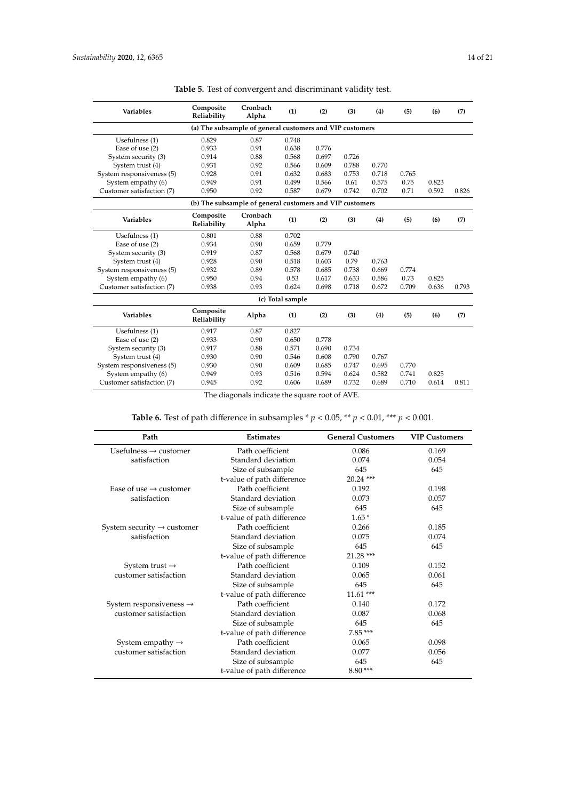<span id="page-13-0"></span>

| <b>Variables</b>                                         | Composite<br>Reliability | Cronbach<br>Alpha                                        | (1)              | (2)   | (3)   | (4)   | (5)   | (6)   | (7)   |
|----------------------------------------------------------|--------------------------|----------------------------------------------------------|------------------|-------|-------|-------|-------|-------|-------|
| (a) The subsample of general customers and VIP customers |                          |                                                          |                  |       |       |       |       |       |       |
| Usefulness (1)                                           | 0.829                    | 0.87                                                     | 0.748            |       |       |       |       |       |       |
| Ease of use (2)                                          | 0.933                    | 0.91                                                     | 0.638            | 0.776 |       |       |       |       |       |
| System security (3)                                      | 0.914                    | 0.88                                                     | 0.568            | 0.697 | 0.726 |       |       |       |       |
| System trust (4)                                         | 0.931                    | 0.92                                                     | 0.566            | 0.609 | 0.788 | 0.770 |       |       |       |
| System responsiveness (5)                                | 0.928                    | 0.91                                                     | 0.632            | 0.683 | 0.753 | 0.718 | 0.765 |       |       |
| System empathy (6)                                       | 0.949                    | 0.91                                                     | 0.499            | 0.566 | 0.61  | 0.575 | 0.75  | 0.823 |       |
| Customer satisfaction (7)                                | 0.950                    | 0.92                                                     | 0.587            | 0.679 | 0.742 | 0.702 | 0.71  | 0.592 | 0.826 |
|                                                          |                          | (b) The subsample of general customers and VIP customers |                  |       |       |       |       |       |       |
| <b>Variables</b>                                         | Composite<br>Reliability | Cronbach<br>Alpha                                        | (1)              | (2)   | (3)   | (4)   | (5)   | (6)   | (7)   |
| Usefulness (1)                                           | 0.801                    | 0.88                                                     | 0.702            |       |       |       |       |       |       |
| Ease of use (2)                                          | 0.934                    | 0.90                                                     | 0.659            | 0.779 |       |       |       |       |       |
| System security (3)                                      | 0.919                    | 0.87                                                     | 0.568            | 0.679 | 0.740 |       |       |       |       |
| System trust (4)                                         | 0.928                    | 0.90                                                     | 0.518            | 0.603 | 0.79  | 0.763 |       |       |       |
| System responsiveness (5)                                | 0.932                    | 0.89                                                     | 0.578            | 0.685 | 0.738 | 0.669 | 0.774 |       |       |
| System empathy (6)                                       | 0.950                    | 0.94                                                     | 0.53             | 0.617 | 0.633 | 0.586 | 0.73  | 0.825 |       |
| Customer satisfaction (7)                                | 0.938                    | 0.93                                                     | 0.624            | 0.698 | 0.718 | 0.672 | 0.709 | 0.636 | 0.793 |
|                                                          |                          |                                                          | (c) Total sample |       |       |       |       |       |       |
| <b>Variables</b>                                         | Composite<br>Reliability | Alpha                                                    | (1)              | (2)   | (3)   | (4)   | (5)   | (6)   | (7)   |
| Usefulness (1)                                           | 0.917                    | 0.87                                                     | 0.827            |       |       |       |       |       |       |
| Ease of use (2)                                          | 0.933                    | 0.90                                                     | 0.650            | 0.778 |       |       |       |       |       |
| System security (3)                                      | 0.917                    | 0.88                                                     | 0.571            | 0.690 | 0.734 |       |       |       |       |
| System trust (4)                                         | 0.930                    | 0.90                                                     | 0.546            | 0.608 | 0.790 | 0.767 |       |       |       |
| System responsiveness (5)                                | 0.930                    | 0.90                                                     | 0.609            | 0.685 | 0.747 | 0.695 | 0.770 |       |       |
| System empathy (6)                                       | 0.949                    | 0.93                                                     | 0.516            | 0.594 | 0.624 | 0.582 | 0.741 | 0.825 |       |
| Customer satisfaction (7)                                | 0.945                    | 0.92                                                     | 0.606            | 0.689 | 0.732 | 0.689 | 0.710 | 0.614 | 0.811 |
|                                                          |                          |                                                          |                  |       |       |       |       |       |       |

**Table 5.** Test of convergent and discriminant validity test.

The diagonals indicate the square root of AVE.

**Table 6.** Test of path difference in subsamples \*  $p < 0.05$  , \*\*  $p < 0.01$  , \*\*\*  $p < 0.001$  .

<span id="page-13-1"></span>

| Path                                   | <b>Estimates</b>           | <b>General Customers</b> | <b>VIP Customers</b> |
|----------------------------------------|----------------------------|--------------------------|----------------------|
| Usefulness $\rightarrow$ customer      | Path coefficient           | 0.086                    | 0.169                |
| satisfaction                           | Standard deviation         | 0.074                    | 0.054                |
|                                        | Size of subsample          | 645                      | 645                  |
|                                        | t-value of path difference | $20.24$ ***              |                      |
| Ease of use $\rightarrow$ customer     | Path coefficient           | 0.192                    | 0.198                |
| satisfaction                           | Standard deviation         | 0.073                    | 0.057                |
|                                        | Size of subsample          | 645                      | 645                  |
|                                        | t-value of path difference | $1.65*$                  |                      |
| System security $\rightarrow$ customer | Path coefficient           | 0.266                    | 0.185                |
| satisfaction                           | Standard deviation         | 0.075                    | 0.074                |
|                                        | Size of subsample          | 645                      | 645                  |
|                                        | t-value of path difference | $21.28$ ***              |                      |
| System trust $\rightarrow$             | Path coefficient           | 0.109                    | 0.152                |
| customer satisfaction                  | Standard deviation         | 0.065                    | 0.061                |
|                                        | Size of subsample          | 645                      | 645                  |
|                                        | t-value of path difference | $11.61***$               |                      |
| System responsiveness $\rightarrow$    | Path coefficient           | 0.140                    | 0.172                |
| customer satisfaction                  | Standard deviation         | 0.087                    | 0.068                |
|                                        | Size of subsample          | 645                      | 645                  |
|                                        | t-value of path difference | $7.85***$                |                      |
| System empathy $\rightarrow$           | Path coefficient           | 0.065                    | 0.098                |
| customer satisfaction                  | Standard deviation         | 0.077                    | 0.056                |
|                                        | Size of subsample          | 645                      | 645                  |
|                                        | t-value of path difference | $8.80***$                |                      |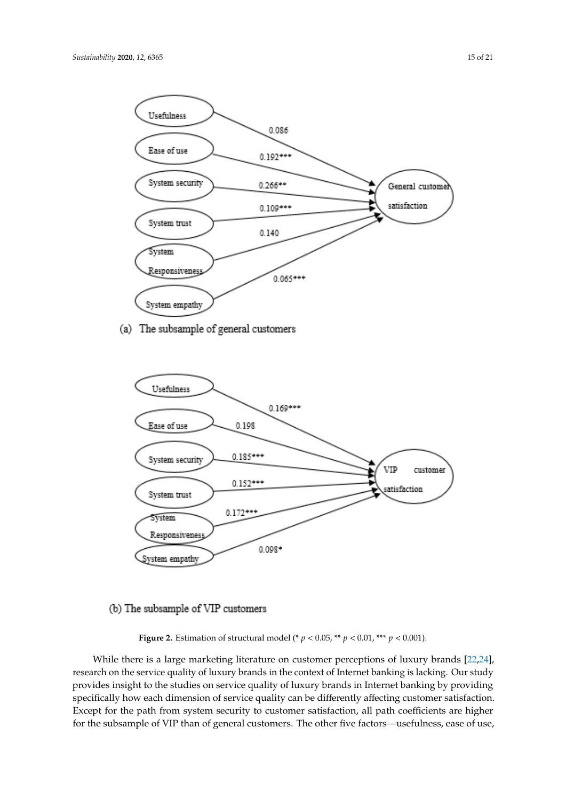<span id="page-14-0"></span>

(a) The subsample of general customers



# (b) The subsample of VIP customers

**Figure 2.** Estimation of structural model (\*  $p < 0.05$ , \*\*  $p < 0.01$ , \*\*\*  $p < 0.001$ ).

While there is a large marketing literature on customer perceptions of luxury brands [\[22,](#page-17-9)[24\]](#page-18-24), research on the service quality of luxury brands in the context of Internet banking is lacking. Our study provides insight to the studies on service quality of luxury brands in Internet banking by providing specifically how each dimension of service quality can be differently affecting customer satisfaction. Except for the path from system security to customer satisfaction, all path coefficients are higher for the subsample of VIP than of general customers. The other five factors—usefulness, ease of use,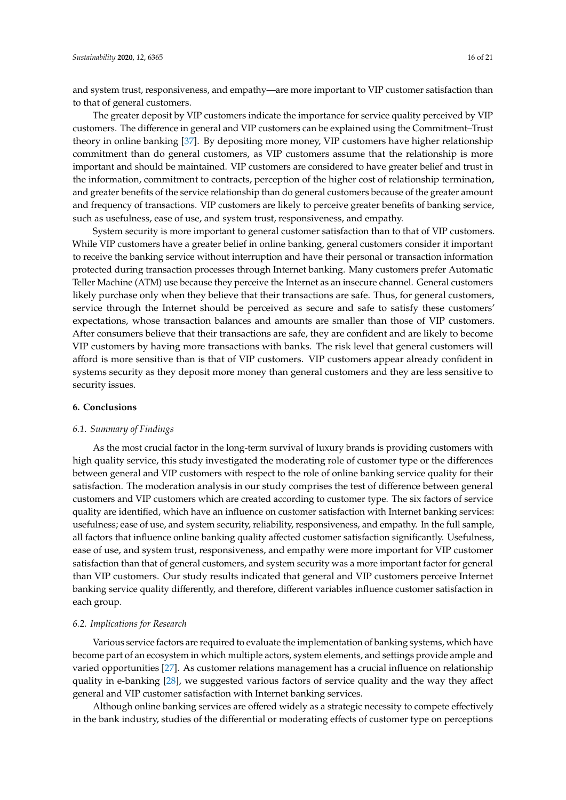and system trust, responsiveness, and empathy—are more important to VIP customer satisfaction than to that of general customers.

The greater deposit by VIP customers indicate the importance for service quality perceived by VIP customers. The difference in general and VIP customers can be explained using the Commitment–Trust theory in online banking [\[37\]](#page-18-12). By depositing more money, VIP customers have higher relationship commitment than do general customers, as VIP customers assume that the relationship is more important and should be maintained. VIP customers are considered to have greater belief and trust in the information, commitment to contracts, perception of the higher cost of relationship termination, and greater benefits of the service relationship than do general customers because of the greater amount and frequency of transactions. VIP customers are likely to perceive greater benefits of banking service, such as usefulness, ease of use, and system trust, responsiveness, and empathy.

System security is more important to general customer satisfaction than to that of VIP customers. While VIP customers have a greater belief in online banking, general customers consider it important to receive the banking service without interruption and have their personal or transaction information protected during transaction processes through Internet banking. Many customers prefer Automatic Teller Machine (ATM) use because they perceive the Internet as an insecure channel. General customers likely purchase only when they believe that their transactions are safe. Thus, for general customers, service through the Internet should be perceived as secure and safe to satisfy these customers' expectations, whose transaction balances and amounts are smaller than those of VIP customers. After consumers believe that their transactions are safe, they are confident and are likely to become VIP customers by having more transactions with banks. The risk level that general customers will afford is more sensitive than is that of VIP customers. VIP customers appear already confident in systems security as they deposit more money than general customers and they are less sensitive to security issues.

#### **6. Conclusions**

#### *6.1. Summary of Findings*

As the most crucial factor in the long-term survival of luxury brands is providing customers with high quality service, this study investigated the moderating role of customer type or the differences between general and VIP customers with respect to the role of online banking service quality for their satisfaction. The moderation analysis in our study comprises the test of difference between general customers and VIP customers which are created according to customer type. The six factors of service quality are identified, which have an influence on customer satisfaction with Internet banking services: usefulness; ease of use, and system security, reliability, responsiveness, and empathy. In the full sample, all factors that influence online banking quality affected customer satisfaction significantly. Usefulness, ease of use, and system trust, responsiveness, and empathy were more important for VIP customer satisfaction than that of general customers, and system security was a more important factor for general than VIP customers. Our study results indicated that general and VIP customers perceive Internet banking service quality differently, and therefore, different variables influence customer satisfaction in each group.

### *6.2. Implications for Research*

Various service factors are required to evaluate the implementation of banking systems, which have become part of an ecosystem in which multiple actors, system elements, and settings provide ample and varied opportunities [\[27\]](#page-18-3). As customer relations management has a crucial influence on relationship quality in e-banking [\[28\]](#page-18-4), we suggested various factors of service quality and the way they affect general and VIP customer satisfaction with Internet banking services.

Although online banking services are offered widely as a strategic necessity to compete effectively in the bank industry, studies of the differential or moderating effects of customer type on perceptions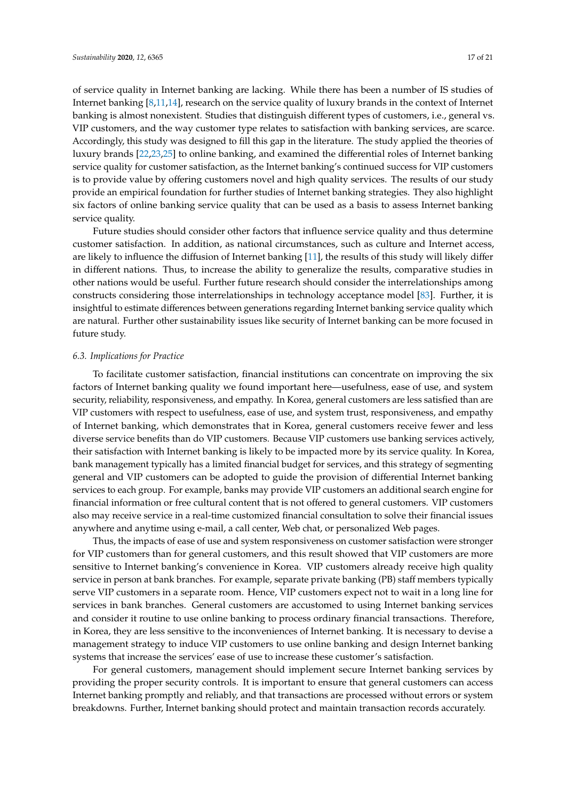of service quality in Internet banking are lacking. While there has been a number of IS studies of Internet banking [\[8,](#page-17-10)[11,](#page-17-17)[14\]](#page-17-5), research on the service quality of luxury brands in the context of Internet banking is almost nonexistent. Studies that distinguish different types of customers, i.e., general vs. VIP customers, and the way customer type relates to satisfaction with banking services, are scarce. Accordingly, this study was designed to fill this gap in the literature. The study applied the theories of luxury brands [\[22,](#page-17-9)[23,](#page-18-2)[25\]](#page-18-0) to online banking, and examined the differential roles of Internet banking service quality for customer satisfaction, as the Internet banking's continued success for VIP customers is to provide value by offering customers novel and high quality services. The results of our study provide an empirical foundation for further studies of Internet banking strategies. They also highlight six factors of online banking service quality that can be used as a basis to assess Internet banking service quality.

Future studies should consider other factors that influence service quality and thus determine customer satisfaction. In addition, as national circumstances, such as culture and Internet access, are likely to influence the diffusion of Internet banking [\[11\]](#page-17-17), the results of this study will likely differ in different nations. Thus, to increase the ability to generalize the results, comparative studies in other nations would be useful. Further future research should consider the interrelationships among constructs considering those interrelationships in technology acceptance model [\[83\]](#page-20-8). Further, it is insightful to estimate differences between generations regarding Internet banking service quality which are natural. Further other sustainability issues like security of Internet banking can be more focused in future study.

#### *6.3. Implications for Practice*

To facilitate customer satisfaction, financial institutions can concentrate on improving the six factors of Internet banking quality we found important here—usefulness, ease of use, and system security, reliability, responsiveness, and empathy. In Korea, general customers are less satisfied than are VIP customers with respect to usefulness, ease of use, and system trust, responsiveness, and empathy of Internet banking, which demonstrates that in Korea, general customers receive fewer and less diverse service benefits than do VIP customers. Because VIP customers use banking services actively, their satisfaction with Internet banking is likely to be impacted more by its service quality. In Korea, bank management typically has a limited financial budget for services, and this strategy of segmenting general and VIP customers can be adopted to guide the provision of differential Internet banking services to each group. For example, banks may provide VIP customers an additional search engine for financial information or free cultural content that is not offered to general customers. VIP customers also may receive service in a real-time customized financial consultation to solve their financial issues anywhere and anytime using e-mail, a call center, Web chat, or personalized Web pages.

Thus, the impacts of ease of use and system responsiveness on customer satisfaction were stronger for VIP customers than for general customers, and this result showed that VIP customers are more sensitive to Internet banking's convenience in Korea. VIP customers already receive high quality service in person at bank branches. For example, separate private banking (PB) staff members typically serve VIP customers in a separate room. Hence, VIP customers expect not to wait in a long line for services in bank branches. General customers are accustomed to using Internet banking services and consider it routine to use online banking to process ordinary financial transactions. Therefore, in Korea, they are less sensitive to the inconveniences of Internet banking. It is necessary to devise a management strategy to induce VIP customers to use online banking and design Internet banking systems that increase the services' ease of use to increase these customer's satisfaction.

For general customers, management should implement secure Internet banking services by providing the proper security controls. It is important to ensure that general customers can access Internet banking promptly and reliably, and that transactions are processed without errors or system breakdowns. Further, Internet banking should protect and maintain transaction records accurately.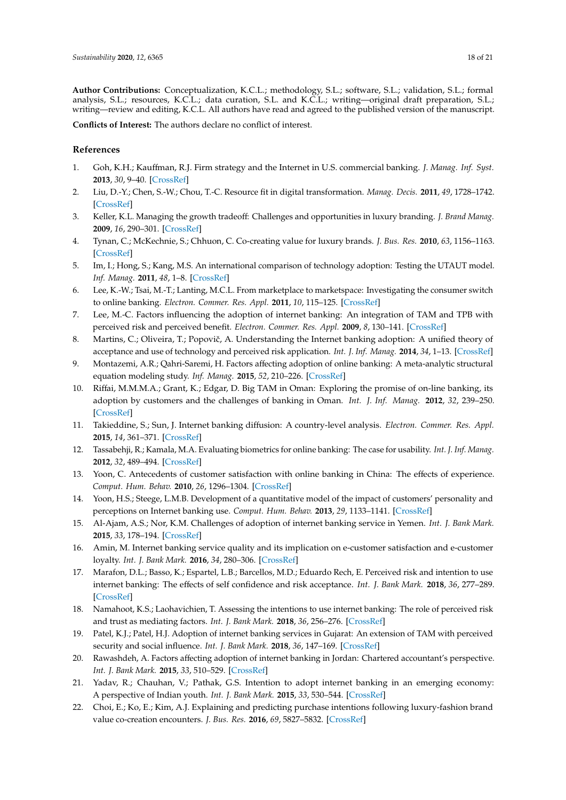**Author Contributions:** Conceptualization, K.C.L.; methodology, S.L.; software, S.L.; validation, S.L.; formal analysis, S.L.; resources, K.C.L.; data curation, S.L. and K.C.L.; writing—original draft preparation, S.L.; writing—review and editing, K.C.L. All authors have read and agreed to the published version of the manuscript.

**Conflicts of Interest:** The authors declare no conflict of interest.

## **References**

- <span id="page-17-0"></span>1. Goh, K.H.; Kauffman, R.J. Firm strategy and the Internet in U.S. commercial banking. *J. Manag. Inf. Syst.* **2013**, *30*, 9–40. [\[CrossRef\]](http://dx.doi.org/10.2753/MIS0742-1222300201)
- <span id="page-17-1"></span>2. Liu, D.-Y.; Chen, S.-W.; Chou, T.-C. Resource fit in digital transformation. *Manag. Decis.* **2011**, *49*, 1728–1742. [\[CrossRef\]](http://dx.doi.org/10.1108/00251741111183852)
- <span id="page-17-2"></span>3. Keller, K.L. Managing the growth tradeoff: Challenges and opportunities in luxury branding. *J. Brand Manag.* **2009**, *16*, 290–301. [\[CrossRef\]](http://dx.doi.org/10.1057/bm.2008.47)
- <span id="page-17-3"></span>4. Tynan, C.; McKechnie, S.; Chhuon, C. Co-creating value for luxury brands. *J. Bus. Res.* **2010**, *63*, 1156–1163. [\[CrossRef\]](http://dx.doi.org/10.1016/j.jbusres.2009.10.012)
- <span id="page-17-4"></span>5. Im, I.; Hong, S.; Kang, M.S. An international comparison of technology adoption: Testing the UTAUT model. *Inf. Manag.* **2011**, *48*, 1–8. [\[CrossRef\]](http://dx.doi.org/10.1016/j.im.2010.09.001)
- 6. Lee, K.-W.; Tsai, M.-T.; Lanting, M.C.L. From marketplace to marketspace: Investigating the consumer switch to online banking. *Electron. Commer. Res. Appl.* **2011**, *10*, 115–125. [\[CrossRef\]](http://dx.doi.org/10.1016/j.elerap.2010.08.005)
- <span id="page-17-11"></span>7. Lee, M.-C. Factors influencing the adoption of internet banking: An integration of TAM and TPB with perceived risk and perceived benefit. *Electron. Commer. Res. Appl.* **2009**, *8*, 130–141. [\[CrossRef\]](http://dx.doi.org/10.1016/j.elerap.2008.11.006)
- <span id="page-17-10"></span>8. Martins, C.; Oliveira, T.; Popovič, A. Understanding the Internet banking adoption: A unified theory of acceptance and use of technology and perceived risk application. *Int. J. Inf. Manag.* **2014**, *34*, 1–13. [\[CrossRef\]](http://dx.doi.org/10.1016/j.ijinfomgt.2013.06.002)
- 9. Montazemi, A.R.; Qahri-Saremi, H. Factors affecting adoption of online banking: A meta-analytic structural equation modeling study. *Inf. Manag.* **2015**, *52*, 210–226. [\[CrossRef\]](http://dx.doi.org/10.1016/j.im.2014.11.002)
- 10. Riffai, M.M.M.A.; Grant, K.; Edgar, D. Big TAM in Oman: Exploring the promise of on-line banking, its adoption by customers and the challenges of banking in Oman. *Int. J. Inf. Manag.* **2012**, *32*, 239–250. [\[CrossRef\]](http://dx.doi.org/10.1016/j.ijinfomgt.2011.11.007)
- <span id="page-17-17"></span>11. Takieddine, S.; Sun, J. Internet banking diffusion: A country-level analysis. *Electron. Commer. Res. Appl.* **2015**, *14*, 361–371. [\[CrossRef\]](http://dx.doi.org/10.1016/j.elerap.2015.06.001)
- 12. Tassabehji, R.; Kamala, M.A. Evaluating biometrics for online banking: The case for usability. *Int. J. Inf. Manag.* **2012**, *32*, 489–494. [\[CrossRef\]](http://dx.doi.org/10.1016/j.ijinfomgt.2012.07.001)
- <span id="page-17-6"></span>13. Yoon, C. Antecedents of customer satisfaction with online banking in China: The effects of experience. *Comput. Hum. Behav.* **2010**, *26*, 1296–1304. [\[CrossRef\]](http://dx.doi.org/10.1016/j.chb.2010.04.001)
- <span id="page-17-5"></span>14. Yoon, H.S.; Steege, L.M.B. Development of a quantitative model of the impact of customers' personality and perceptions on Internet banking use. *Comput. Hum. Behav.* **2013**, *29*, 1133–1141. [\[CrossRef\]](http://dx.doi.org/10.1016/j.chb.2012.10.005)
- <span id="page-17-7"></span>15. Al-Ajam, A.S.; Nor, K.M. Challenges of adoption of internet banking service in Yemen. *Int. J. Bank Mark.* **2015**, *33*, 178–194. [\[CrossRef\]](http://dx.doi.org/10.1108/IJBM-01-2013-0001)
- <span id="page-17-13"></span>16. Amin, M. Internet banking service quality and its implication on e-customer satisfaction and e-customer loyalty. *Int. J. Bank Mark.* **2016**, *34*, 280–306. [\[CrossRef\]](http://dx.doi.org/10.1108/IJBM-10-2014-0139)
- <span id="page-17-14"></span>17. Marafon, D.L.; Basso, K.; Espartel, L.B.; Barcellos, M.D.; Eduardo Rech, E. Perceived risk and intention to use internet banking: The effects of self confidence and risk acceptance. *Int. J. Bank Mark.* **2018**, *36*, 277–289. [\[CrossRef\]](http://dx.doi.org/10.1108/IJBM-11-2016-0166)
- <span id="page-17-12"></span>18. Namahoot, K.S.; Laohavichien, T. Assessing the intentions to use internet banking: The role of perceived risk and trust as mediating factors. *Int. J. Bank Mark.* **2018**, *36*, 256–276. [\[CrossRef\]](http://dx.doi.org/10.1108/IJBM-11-2016-0159)
- <span id="page-17-15"></span>19. Patel, K.J.; Patel, H.J. Adoption of internet banking services in Gujarat: An extension of TAM with perceived security and social influence. *Int. J. Bank Mark.* **2018**, *36*, 147–169. [\[CrossRef\]](http://dx.doi.org/10.1108/IJBM-08-2016-0104)
- <span id="page-17-16"></span>20. Rawashdeh, A. Factors affecting adoption of internet banking in Jordan: Chartered accountant's perspective. *Int. J. Bank Mark.* **2015**, *33*, 510–529. [\[CrossRef\]](http://dx.doi.org/10.1108/IJBM-03-2014-0043)
- <span id="page-17-8"></span>21. Yadav, R.; Chauhan, V.; Pathak, G.S. Intention to adopt internet banking in an emerging economy: A perspective of Indian youth. *Int. J. Bank Mark.* **2015**, *33*, 530–544. [\[CrossRef\]](http://dx.doi.org/10.1108/IJBM-06-2014-0075)
- <span id="page-17-9"></span>22. Choi, E.; Ko, E.; Kim, A.J. Explaining and predicting purchase intentions following luxury-fashion brand value co-creation encounters. *J. Bus. Res.* **2016**, *69*, 5827–5832. [\[CrossRef\]](http://dx.doi.org/10.1016/j.jbusres.2016.04.180)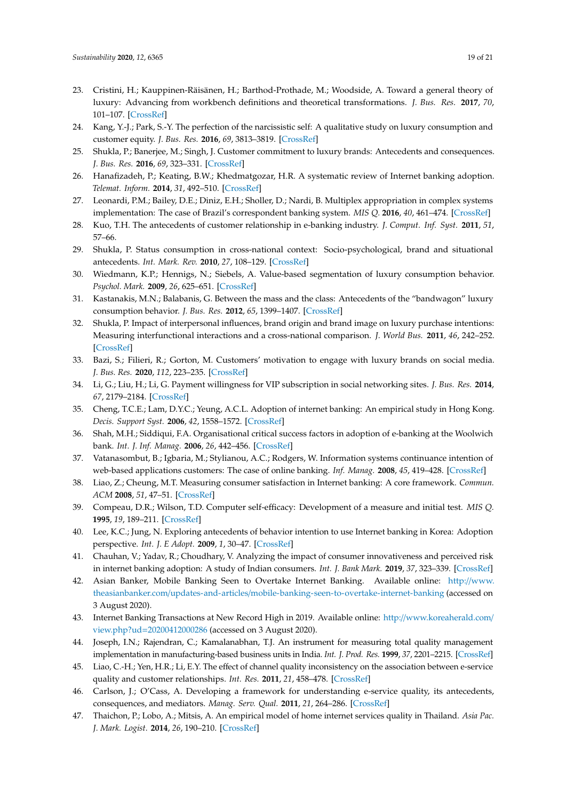- <span id="page-18-23"></span><span id="page-18-2"></span>23. Cristini, H.; Kauppinen-Räisänen, H.; Barthod-Prothade, M.; Woodside, A. Toward a general theory of luxury: Advancing from workbench definitions and theoretical transformations. *J. Bus. Res.* **2017**, *70*, 101–107. [\[CrossRef\]](http://dx.doi.org/10.1016/j.jbusres.2016.07.001)
- <span id="page-18-24"></span>24. Kang, Y.-J.; Park, S.-Y. The perfection of the narcissistic self: A qualitative study on luxury consumption and customer equity. *J. Bus. Res.* **2016**, *69*, 3813–3819. [\[CrossRef\]](http://dx.doi.org/10.1016/j.jbusres.2015.12.073)
- <span id="page-18-0"></span>25. Shukla, P.; Banerjee, M.; Singh, J. Customer commitment to luxury brands: Antecedents and consequences. *J. Bus. Res.* **2016**, *69*, 323–331. [\[CrossRef\]](http://dx.doi.org/10.1016/j.jbusres.2015.08.004)
- <span id="page-18-1"></span>26. Hanafizadeh, P.; Keating, B.W.; Khedmatgozar, H.R. A systematic review of Internet banking adoption. *Telemat. Inform.* **2014**, *31*, 492–510. [\[CrossRef\]](http://dx.doi.org/10.1016/j.tele.2013.04.003)
- <span id="page-18-3"></span>27. Leonardi, P.M.; Bailey, D.E.; Diniz, E.H.; Sholler, D.; Nardi, B. Multiplex appropriation in complex systems implementation: The case of Brazil's correspondent banking system. *MIS Q.* **2016**, *40*, 461–474. [\[CrossRef\]](http://dx.doi.org/10.25300/MISQ/2016/40.2.10)
- <span id="page-18-4"></span>28. Kuo, T.H. The antecedents of customer relationship in e-banking industry. *J. Comput. Inf. Syst.* **2011**, *51*, 57–66.
- <span id="page-18-5"></span>29. Shukla, P. Status consumption in cross-national context: Socio-psychological, brand and situational antecedents. *Int. Mark. Rev.* **2010**, *27*, 108–129. [\[CrossRef\]](http://dx.doi.org/10.1108/02651331011020429)
- <span id="page-18-6"></span>30. Wiedmann, K.P.; Hennigs, N.; Siebels, A. Value-based segmentation of luxury consumption behavior. *Psychol. Mark.* **2009**, *26*, 625–651. [\[CrossRef\]](http://dx.doi.org/10.1002/mar.20292)
- 31. Kastanakis, M.N.; Balabanis, G. Between the mass and the class: Antecedents of the "bandwagon" luxury consumption behavior. *J. Bus. Res.* **2012**, *65*, 1399–1407. [\[CrossRef\]](http://dx.doi.org/10.1016/j.jbusres.2011.10.005)
- <span id="page-18-7"></span>32. Shukla, P. Impact of interpersonal influences, brand origin and brand image on luxury purchase intentions: Measuring interfunctional interactions and a cross-national comparison. *J. World Bus.* **2011**, *46*, 242–252. [\[CrossRef\]](http://dx.doi.org/10.1016/j.jwb.2010.11.002)
- <span id="page-18-8"></span>33. Bazi, S.; Filieri, R.; Gorton, M. Customers' motivation to engage with luxury brands on social media. *J. Bus. Res.* **2020**, *112*, 223–235. [\[CrossRef\]](http://dx.doi.org/10.1016/j.jbusres.2020.02.032)
- <span id="page-18-9"></span>34. Li, G.; Liu, H.; Li, G. Payment willingness for VIP subscription in social networking sites. *J. Bus. Res.* **2014**, *67*, 2179–2184. [\[CrossRef\]](http://dx.doi.org/10.1016/j.jbusres.2014.04.028)
- <span id="page-18-10"></span>35. Cheng, T.C.E.; Lam, D.Y.C.; Yeung, A.C.L. Adoption of internet banking: An empirical study in Hong Kong. *Decis. Support Syst.* **2006**, *42*, 1558–1572. [\[CrossRef\]](http://dx.doi.org/10.1016/j.dss.2006.01.002)
- <span id="page-18-11"></span>36. Shah, M.H.; Siddiqui, F.A. Organisational critical success factors in adoption of e-banking at the Woolwich bank. *Int. J. Inf. Manag.* **2006**, *26*, 442–456. [\[CrossRef\]](http://dx.doi.org/10.1016/j.ijinfomgt.2006.08.003)
- <span id="page-18-12"></span>37. Vatanasombut, B.; Igbaria, M.; Stylianou, A.C.; Rodgers, W. Information systems continuance intention of web-based applications customers: The case of online banking. *Inf. Manag.* **2008**, *45*, 419–428. [\[CrossRef\]](http://dx.doi.org/10.1016/j.im.2008.03.005)
- <span id="page-18-13"></span>38. Liao, Z.; Cheung, M.T. Measuring consumer satisfaction in Internet banking: A core framework. *Commun. ACM* **2008**, *51*, 47–51. [\[CrossRef\]](http://dx.doi.org/10.1145/1330311.1330322)
- <span id="page-18-14"></span>39. Compeau, D.R.; Wilson, T.D. Computer self-efficacy: Development of a measure and initial test. *MIS Q.* **1995**, *19*, 189–211. [\[CrossRef\]](http://dx.doi.org/10.2307/249688)
- <span id="page-18-15"></span>40. Lee, K.C.; Jung, N. Exploring antecedents of behavior intention to use Internet banking in Korea: Adoption perspective. *Int. J. E Adopt.* **2009**, *1*, 30–47. [\[CrossRef\]](http://dx.doi.org/10.4018/jea.2009092902)
- <span id="page-18-16"></span>41. Chauhan, V.; Yadav, R.; Choudhary, V. Analyzing the impact of consumer innovativeness and perceived risk in internet banking adoption: A study of Indian consumers. *Int. J. Bank Mark.* **2019**, *37*, 323–339. [\[CrossRef\]](http://dx.doi.org/10.1108/IJBM-02-2018-0028)
- <span id="page-18-17"></span>42. Asian Banker, Mobile Banking Seen to Overtake Internet Banking. Available online: http://[www.](http://www.theasianbanker.com/updates-and-articles/mobile-banking-seen-to-overtake-internet-banking) theasianbanker.com/updates-and-articles/[mobile-banking-seen-to-overtake-internet-banking](http://www.theasianbanker.com/updates-and-articles/mobile-banking-seen-to-overtake-internet-banking) (accessed on 3 August 2020).
- <span id="page-18-18"></span>43. Internet Banking Transactions at New Record High in 2019. Available online: http://[www.koreaherald.com](http://www.koreaherald.com/view.php?ud=20200412000286)/ view.php?ud=[20200412000286](http://www.koreaherald.com/view.php?ud=20200412000286) (accessed on 3 August 2020).
- <span id="page-18-19"></span>44. Joseph, I.N.; Rajendran, C.; Kamalanabhan, T.J. An instrument for measuring total quality management implementation in manufacturing-based business units in India. *Int. J. Prod. Res.* **1999**, *37*, 2201–2215. [\[CrossRef\]](http://dx.doi.org/10.1080/002075499190725)
- <span id="page-18-20"></span>45. Liao, C.-H.; Yen, H.R.; Li, E.Y. The effect of channel quality inconsistency on the association between e-service quality and customer relationships. *Int. Res.* **2011**, *21*, 458–478. [\[CrossRef\]](http://dx.doi.org/10.1108/10662241111158326)
- <span id="page-18-21"></span>46. Carlson, J.; O'Cass, A. Developing a framework for understanding e-service quality, its antecedents, consequences, and mediators. *Manag. Serv. Qual.* **2011**, *21*, 264–286. [\[CrossRef\]](http://dx.doi.org/10.1108/09604521111127965)
- <span id="page-18-22"></span>47. Thaichon, P.; Lobo, A.; Mitsis, A. An empirical model of home internet services quality in Thailand. *Asia Pac. J. Mark. Logist.* **2014**, *26*, 190–210. [\[CrossRef\]](http://dx.doi.org/10.1108/APJML-05-2013-0059)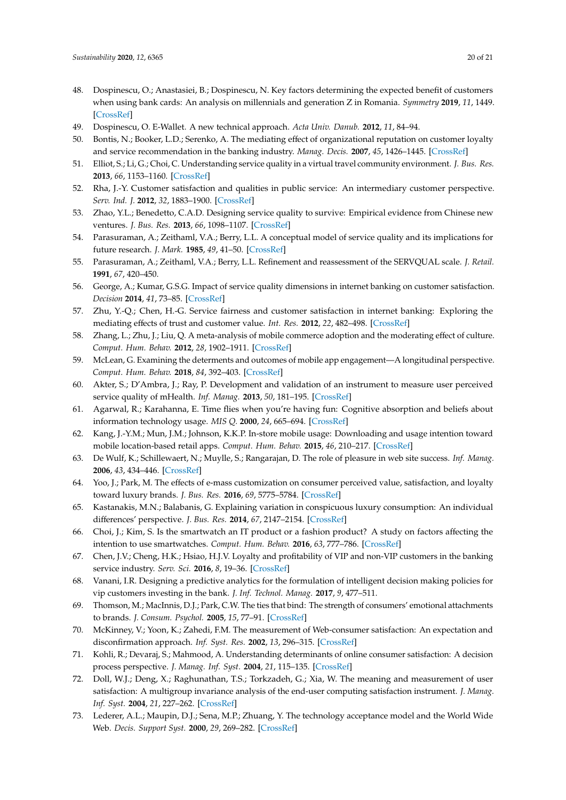- <span id="page-19-26"></span><span id="page-19-25"></span><span id="page-19-0"></span>48. Dospinescu, O.; Anastasiei, B.; Dospinescu, N. Key factors determining the expected benefit of customers when using bank cards: An analysis on millennials and generation Z in Romania. *Symmetry* **2019**, *11*, 1449. [\[CrossRef\]](http://dx.doi.org/10.3390/sym11121449)
- <span id="page-19-1"></span>49. Dospinescu, O. E-Wallet. A new technical approach. *Acta Univ. Danub.* **2012**, *11*, 84–94.
- <span id="page-19-2"></span>50. Bontis, N.; Booker, L.D.; Serenko, A. The mediating effect of organizational reputation on customer loyalty and service recommendation in the banking industry. *Manag. Decis.* **2007**, *45*, 1426–1445. [\[CrossRef\]](http://dx.doi.org/10.1108/00251740710828681)
- <span id="page-19-3"></span>51. Elliot, S.; Li, G.; Choi, C. Understanding service quality in a virtual travel community environment. *J. Bus. Res.* **2013**, *66*, 1153–1160. [\[CrossRef\]](http://dx.doi.org/10.1016/j.jbusres.2012.03.011)
- <span id="page-19-4"></span>52. Rha, J.-Y. Customer satisfaction and qualities in public service: An intermediary customer perspective. *Serv. Ind. J.* **2012**, *32*, 1883–1900. [\[CrossRef\]](http://dx.doi.org/10.1080/02642069.2011.574274)
- <span id="page-19-5"></span>53. Zhao, Y.L.; Benedetto, C.A.D. Designing service quality to survive: Empirical evidence from Chinese new ventures. *J. Bus. Res.* **2013**, *66*, 1098–1107. [\[CrossRef\]](http://dx.doi.org/10.1016/j.jbusres.2012.03.006)
- <span id="page-19-6"></span>54. Parasuraman, A.; Zeithaml, V.A.; Berry, L.L. A conceptual model of service quality and its implications for future research. *J. Mark.* **1985**, *49*, 41–50. [\[CrossRef\]](http://dx.doi.org/10.1177/002224298504900403)
- <span id="page-19-7"></span>55. Parasuraman, A.; Zeithaml, V.A.; Berry, L.L. Refinement and reassessment of the SERVQUAL scale. *J. Retail.* **1991**, *67*, 420–450.
- <span id="page-19-8"></span>56. George, A.; Kumar, G.S.G. Impact of service quality dimensions in internet banking on customer satisfaction. *Decision* **2014**, *41*, 73–85. [\[CrossRef\]](http://dx.doi.org/10.1007/s40622-014-0028-2)
- <span id="page-19-9"></span>57. Zhu, Y.-Q.; Chen, H.-G. Service fairness and customer satisfaction in internet banking: Exploring the mediating effects of trust and customer value. *Int. Res.* **2012**, *22*, 482–498. [\[CrossRef\]](http://dx.doi.org/10.1108/10662241211251006)
- <span id="page-19-10"></span>58. Zhang, L.; Zhu, J.; Liu, Q. A meta-analysis of mobile commerce adoption and the moderating effect of culture. *Comput. Hum. Behav.* **2012**, *28*, 1902–1911. [\[CrossRef\]](http://dx.doi.org/10.1016/j.chb.2012.05.008)
- <span id="page-19-11"></span>59. McLean, G. Examining the determents and outcomes of mobile app engagement—A longitudinal perspective. *Comput. Hum. Behav.* **2018**, *84*, 392–403. [\[CrossRef\]](http://dx.doi.org/10.1016/j.chb.2018.03.015)
- <span id="page-19-12"></span>60. Akter, S.; D'Ambra, J.; Ray, P. Development and validation of an instrument to measure user perceived service quality of mHealth. *Inf. Manag.* **2013**, *50*, 181–195. [\[CrossRef\]](http://dx.doi.org/10.1016/j.im.2013.03.001)
- <span id="page-19-27"></span><span id="page-19-13"></span>61. Agarwal, R.; Karahanna, E. Time flies when you're having fun: Cognitive absorption and beliefs about information technology usage. *MIS Q.* **2000**, *24*, 665–694. [\[CrossRef\]](http://dx.doi.org/10.2307/3250951)
- <span id="page-19-14"></span>62. Kang, J.-Y.M.; Mun, J.M.; Johnson, K.K.P. In-store mobile usage: Downloading and usage intention toward mobile location-based retail apps. *Comput. Hum. Behav.* **2015**, *46*, 210–217. [\[CrossRef\]](http://dx.doi.org/10.1016/j.chb.2015.01.012)
- <span id="page-19-15"></span>63. De Wulf, K.; Schillewaert, N.; Muylle, S.; Rangarajan, D. The role of pleasure in web site success. *Inf. Manag.* **2006**, *43*, 434–446. [\[CrossRef\]](http://dx.doi.org/10.1016/j.im.2005.10.005)
- <span id="page-19-16"></span>64. Yoo, J.; Park, M. The effects of e-mass customization on consumer perceived value, satisfaction, and loyalty toward luxury brands. *J. Bus. Res.* **2016**, *69*, 5775–5784. [\[CrossRef\]](http://dx.doi.org/10.1016/j.jbusres.2016.04.174)
- <span id="page-19-17"></span>65. Kastanakis, M.N.; Balabanis, G. Explaining variation in conspicuous luxury consumption: An individual differences' perspective. *J. Bus. Res.* **2014**, *67*, 2147–2154. [\[CrossRef\]](http://dx.doi.org/10.1016/j.jbusres.2014.04.024)
- <span id="page-19-18"></span>66. Choi, J.; Kim, S. Is the smartwatch an IT product or a fashion product? A study on factors affecting the intention to use smartwatches. *Comput. Hum. Behav.* **2016**, *63*, 777–786. [\[CrossRef\]](http://dx.doi.org/10.1016/j.chb.2016.06.007)
- <span id="page-19-19"></span>67. Chen, J.V.; Cheng, H.K.; Hsiao, H.J.V. Loyalty and profitability of VIP and non-VIP customers in the banking service industry. *Serv. Sci.* **2016**, *8*, 19–36. [\[CrossRef\]](http://dx.doi.org/10.1287/serv.2015.0119)
- <span id="page-19-20"></span>68. Vanani, I.R. Designing a predictive analytics for the formulation of intelligent decision making policies for vip customers investing in the bank. *J. Inf. Technol. Manag.* **2017**, *9*, 477–511.
- <span id="page-19-21"></span>69. Thomson, M.; MacInnis, D.J.; Park, C.W. The ties that bind: The strength of consumers' emotional attachments to brands. *J. Consum. Psychol.* **2005**, *15*, 77–91. [\[CrossRef\]](http://dx.doi.org/10.1207/s15327663jcp1501_10)
- <span id="page-19-22"></span>70. McKinney, V.; Yoon, K.; Zahedi, F.M. The measurement of Web-consumer satisfaction: An expectation and disconfirmation approach. *Inf. Syst. Res.* **2002**, *13*, 296–315. [\[CrossRef\]](http://dx.doi.org/10.1287/isre.13.3.296.76)
- <span id="page-19-23"></span>71. Kohli, R.; Devaraj, S.; Mahmood, A. Understanding determinants of online consumer satisfaction: A decision process perspective. *J. Manag. Inf. Syst.* **2004**, *21*, 115–135. [\[CrossRef\]](http://dx.doi.org/10.1080/07421222.2004.11045796)
- <span id="page-19-24"></span>72. Doll, W.J.; Deng, X.; Raghunathan, T.S.; Torkzadeh, G.; Xia, W. The meaning and measurement of user satisfaction: A multigroup invariance analysis of the end-user computing satisfaction instrument. *J. Manag. Inf. Syst.* **2004**, *21*, 227–262. [\[CrossRef\]](http://dx.doi.org/10.1080/07421222.2004.11045789)
- 73. Lederer, A.L.; Maupin, D.J.; Sena, M.P.; Zhuang, Y. The technology acceptance model and the World Wide Web. *Decis. Support Syst.* **2000**, *29*, 269–282. [\[CrossRef\]](http://dx.doi.org/10.1016/S0167-9236(00)00076-2)